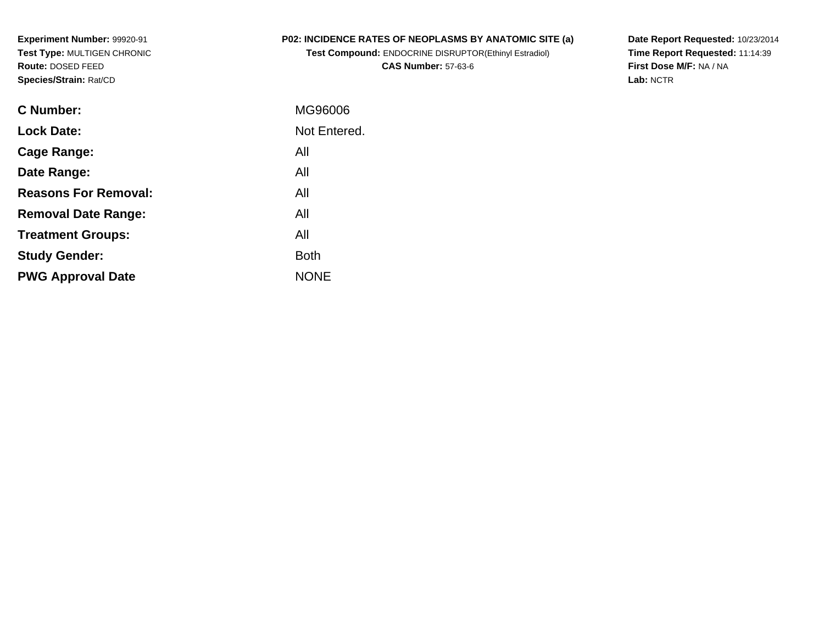**Experiment Number:** 99920-91 **Test Type:** MULTIGEN CHRONIC**Route:** DOSED FEED**Species/Strain:** Rat/CD

# **P02: INCIDENCE RATES OF NEOPLASMS BY ANATOMIC SITE (a)**

**Test Compound:** ENDOCRINE DISRUPTOR(Ethinyl Estradiol)**CAS Number:** 57-63-6

**Date Report Requested:** 10/23/2014 **Time Report Requested:** 11:14:39**First Dose M/F:** NA / NA**Lab:** NCTR

| C Number:                   | MG96006      |
|-----------------------------|--------------|
| <b>Lock Date:</b>           | Not Entered. |
| Cage Range:                 | All          |
| Date Range:                 | All          |
| <b>Reasons For Removal:</b> | All          |
| <b>Removal Date Range:</b>  | All          |
| <b>Treatment Groups:</b>    | All          |
| <b>Study Gender:</b>        | <b>Both</b>  |
| <b>PWG Approval Date</b>    | <b>NONF</b>  |
|                             |              |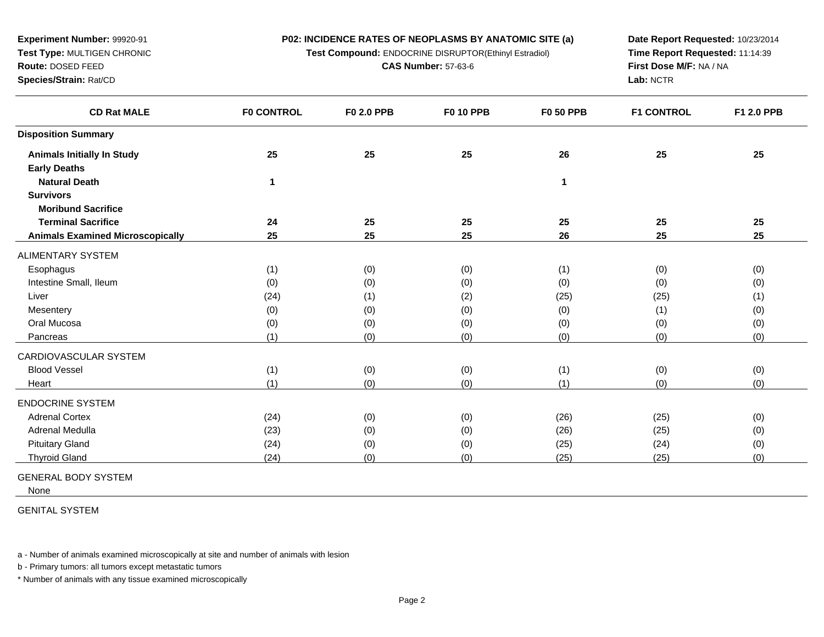**Test Compound:** ENDOCRINE DISRUPTOR(Ethinyl Estradiol)

**CAS Number:** 57-63-6

**Date Report Requested:** 10/23/2014**Time Report Requested:** 11:14:39**First Dose M/F:** NA / NA**Lab:** NCTR

| <b>F0 CONTROL</b> | <b>F0 2.0 PPB</b>           | <b>F0 10 PPB</b>         | <b>F0 50 PPB</b>                       | <b>F1 CONTROL</b>           | F1 2.0 PPB                  |
|-------------------|-----------------------------|--------------------------|----------------------------------------|-----------------------------|-----------------------------|
|                   |                             |                          |                                        |                             |                             |
| 25                | 25                          | 25                       | 26                                     | 25                          | 25                          |
|                   |                             |                          |                                        |                             |                             |
| 1                 |                             |                          | 1                                      |                             |                             |
|                   |                             |                          |                                        |                             |                             |
|                   |                             |                          |                                        |                             |                             |
| 24                | 25                          | 25                       | 25                                     | 25                          | 25                          |
| 25                | 25                          | 25                       | 26                                     | 25                          | 25                          |
|                   |                             |                          |                                        |                             |                             |
| (1)               | (0)                         | (0)                      | (1)                                    | (0)                         | (0)                         |
| (0)               | (0)                         | (0)                      | (0)                                    | (0)                         | (0)                         |
| (24)              | (1)                         | (2)                      | (25)                                   | (25)                        | (1)                         |
| (0)               | (0)                         |                          | (0)                                    | (1)                         | (0)                         |
| (0)               | (0)                         | (0)                      | (0)                                    | (0)                         | (0)                         |
| (1)               | (0)                         | (0)                      | (0)                                    | (0)                         | (0)                         |
|                   |                             |                          |                                        |                             |                             |
|                   |                             |                          |                                        |                             | (0)                         |
| (1)               | (0)                         | (0)                      | (1)                                    | (0)                         | (0)                         |
|                   |                             |                          |                                        |                             |                             |
|                   |                             |                          |                                        |                             | (0)                         |
|                   |                             |                          |                                        |                             | (0)                         |
|                   |                             |                          |                                        |                             | (0)                         |
| (24)              | (0)                         |                          | (25)                                   | (25)                        | (0)                         |
|                   | (1)<br>(24)<br>(23)<br>(24) | (0)<br>(0)<br>(0)<br>(0) | (0)<br>(0)<br>(0)<br>(0)<br>(0)<br>(0) | (1)<br>(26)<br>(26)<br>(25) | (0)<br>(25)<br>(25)<br>(24) |

GENERAL BODY SYSTEM

**Experiment Number:** 99920-91**Test Type:** MULTIGEN CHRONIC

**Route:** DOSED FEED**Species/Strain:** Rat/CD

None

GENITAL SYSTEM

a - Number of animals examined microscopically at site and number of animals with lesion

b - Primary tumors: all tumors except metastatic tumors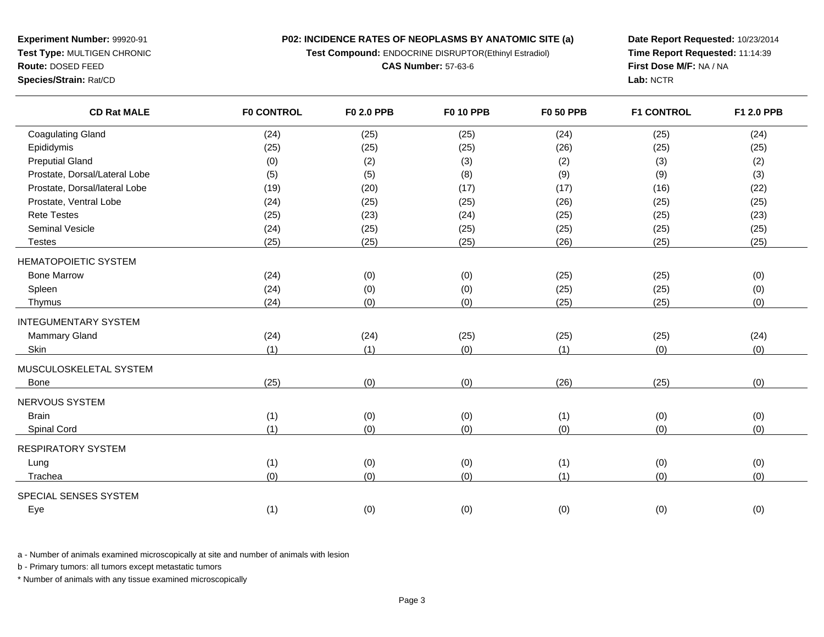**P02: INCIDENCE RATES OF NEOPLASMS BY ANATOMIC SITE (a)Test Compound:** ENDOCRINE DISRUPTOR(Ethinyl Estradiol)

**CAS Number:** 57-63-6

**Experiment Number:** 99920-91 **Test Type:** MULTIGEN CHRONIC**Route:** DOSED FEED

**Species/Strain:** Rat/CD

**Date Report Requested:** 10/23/2014**Time Report Requested:** 11:14:39**First Dose M/F:** NA / NA**Lab:** NCTR

| <b>Coagulating Gland</b><br>(24)<br>(25)<br>(24)<br>(25)      | (24)<br>(25) |
|---------------------------------------------------------------|--------------|
| Epididymis<br>(26)<br>(25)<br>(25)<br>(25)                    | (25)<br>(25) |
| <b>Preputial Gland</b><br>(0)<br>(2)<br>(3)<br>(2)            | (3)<br>(2)   |
| Prostate, Dorsal/Lateral Lobe<br>(5)<br>(5)<br>(8)<br>(9)     | (3)<br>(9)   |
| Prostate, Dorsal/lateral Lobe<br>(20)<br>(17)<br>(17)<br>(19) | (16)<br>(22) |
| Prostate, Ventral Lobe<br>(24)<br>(26)<br>(25)<br>(25)        | (25)<br>(25) |
| <b>Rete Testes</b><br>(25)<br>(23)<br>(25)<br>(24)            | (25)<br>(23) |
| <b>Seminal Vesicle</b><br>(25)<br>(25)<br>(24)<br>(25)        | (25)<br>(25) |
| (25)<br>(25)<br>(25)<br>(26)<br><b>Testes</b>                 | (25)<br>(25) |
| <b>HEMATOPOIETIC SYSTEM</b>                                   |              |
| <b>Bone Marrow</b><br>(24)<br>(0)<br>(0)<br>(25)              | (25)<br>(0)  |
| Spleen<br>(24)<br>(0)<br>(0)<br>(25)                          | (0)<br>(25)  |
| (0)<br>(0)<br>(24)<br>(25)<br>Thymus                          | (0)<br>(25)  |
| <b>INTEGUMENTARY SYSTEM</b>                                   |              |
| <b>Mammary Gland</b><br>(24)<br>(24)<br>(25)<br>(25)          | (25)<br>(24) |
| Skin<br>(1)<br>(1)<br>(0)<br>(1)                              | (0)<br>(0)   |
| MUSCULOSKELETAL SYSTEM                                        |              |
| (0)<br>(0)<br>(26)<br>(25)<br>Bone                            | (0)<br>(25)  |
| <b>NERVOUS SYSTEM</b>                                         |              |
| <b>Brain</b><br>(1)<br>(0)<br>(0)<br>(1)                      | (0)<br>(0)   |
| (1)<br>(0)<br>(0)<br>(0)<br>Spinal Cord                       | (0)<br>(0)   |
| <b>RESPIRATORY SYSTEM</b>                                     |              |
| (1)<br>(0)<br>(0)<br>(1)<br>Lung                              | (0)<br>(0)   |
| (0)<br>(0)<br>(0)<br>(1)<br>Trachea                           | (0)<br>(0)   |
| SPECIAL SENSES SYSTEM                                         |              |
| (1)<br>(0)<br>(0)<br>(0)<br>Eye                               | (0)<br>(0)   |

a - Number of animals examined microscopically at site and number of animals with lesion

b - Primary tumors: all tumors except metastatic tumors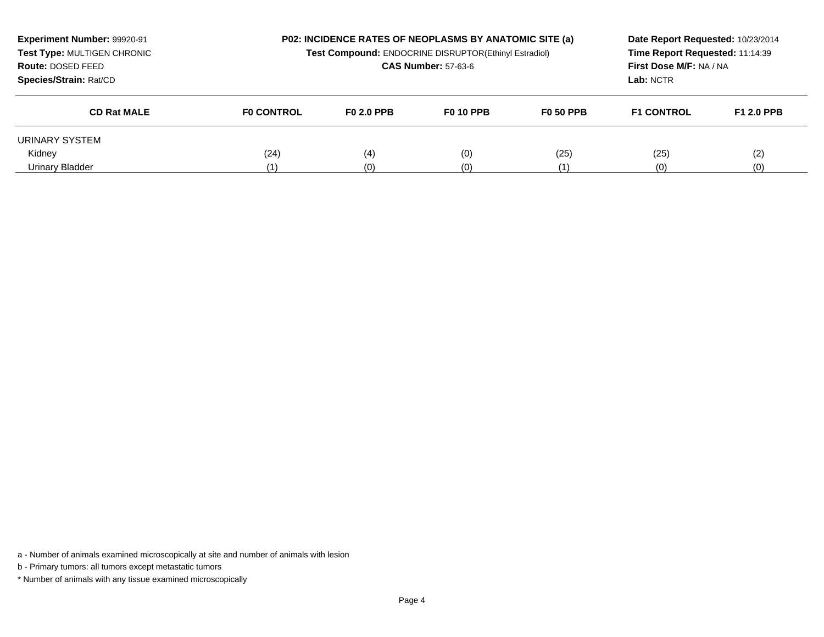| Experiment Number: 99920-91<br>Test Type: MULTIGEN CHRONIC<br>Route: DOSED FEED<br>Species/Strain: Rat/CD |                   | <b>P02: INCIDENCE RATES OF NEOPLASMS BY ANATOMIC SITE (a)</b><br>Test Compound: ENDOCRINE DISRUPTOR(Ethinyl Estradiol)<br><b>CAS Number: 57-63-6</b> |                  |                  | Date Report Requested: 10/23/2014<br>Time Report Requested: 11:14:39<br>First Dose M/F: NA / NA<br>Lab: NCTR |                   |
|-----------------------------------------------------------------------------------------------------------|-------------------|------------------------------------------------------------------------------------------------------------------------------------------------------|------------------|------------------|--------------------------------------------------------------------------------------------------------------|-------------------|
| <b>CD Rat MALE</b>                                                                                        | <b>FO CONTROL</b> | <b>FO 2.0 PPB</b>                                                                                                                                    | <b>F0 10 PPB</b> | <b>F0 50 PPB</b> | <b>F1 CONTROL</b>                                                                                            | <b>F1 2.0 PPB</b> |
| URINARY SYSTEM                                                                                            |                   |                                                                                                                                                      |                  |                  |                                                                                                              |                   |
| Kidney                                                                                                    | (24)              | (4)                                                                                                                                                  | (0)              | (25)             | (25)                                                                                                         | (2)               |
| Urinary Bladder                                                                                           | (1)               | (0)                                                                                                                                                  | (0)              |                  | (0)                                                                                                          | (0)               |

b - Primary tumors: all tumors except metastatic tumors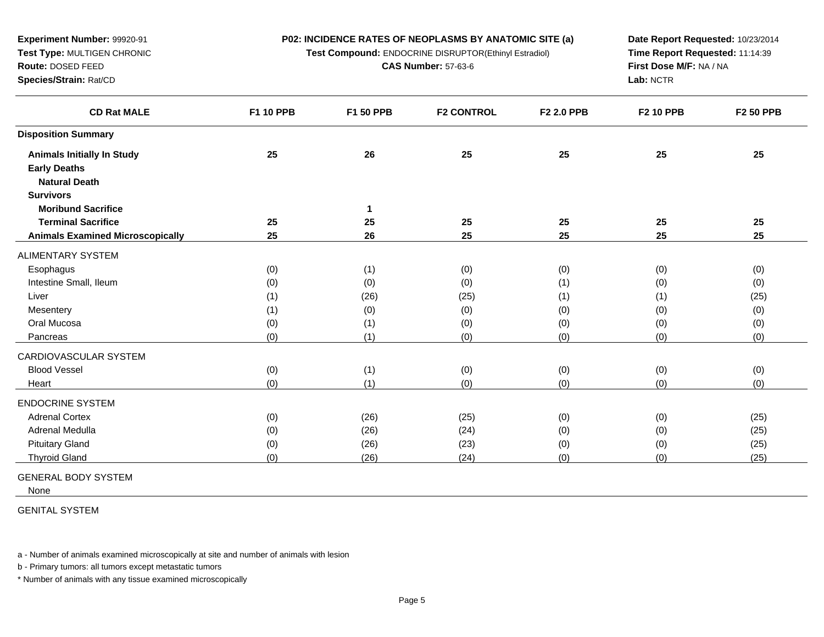**Test Compound:** ENDOCRINE DISRUPTOR(Ethinyl Estradiol)

**CAS Number:** 57-63-6

**Date Report Requested:** 10/23/2014**Time Report Requested:** 11:14:39**First Dose M/F:** NA / NA**Lab:** NCTR

| <b>CD Rat MALE</b>                      | <b>F1 10 PPB</b> | F1 50 PPB | <b>F2 CONTROL</b> | F2 2.0 PPB | <b>F2 10 PPB</b> | F2 50 PPB |
|-----------------------------------------|------------------|-----------|-------------------|------------|------------------|-----------|
| <b>Disposition Summary</b>              |                  |           |                   |            |                  |           |
| <b>Animals Initially In Study</b>       | 25               | 26        | 25                | 25         | 25               | 25        |
| <b>Early Deaths</b>                     |                  |           |                   |            |                  |           |
| <b>Natural Death</b>                    |                  |           |                   |            |                  |           |
| <b>Survivors</b>                        |                  |           |                   |            |                  |           |
| <b>Moribund Sacrifice</b>               |                  | 1         |                   |            |                  |           |
| <b>Terminal Sacrifice</b>               | 25               | 25        | 25                | 25         | 25               | 25        |
| <b>Animals Examined Microscopically</b> | 25               | 26        | 25                | 25         | 25               | 25        |
| ALIMENTARY SYSTEM                       |                  |           |                   |            |                  |           |
| Esophagus                               | (0)              | (1)       | (0)               | (0)        | (0)              | (0)       |
| Intestine Small, Ileum                  | (0)              | (0)       | (0)               | (1)        | (0)              | (0)       |
| Liver                                   | (1)              | (26)      | (25)              | (1)        | (1)              | (25)      |
| Mesentery                               | (1)              | (0)       | (0)               | (0)        | (0)              | (0)       |
| Oral Mucosa                             | (0)              | (1)       | (0)               | (0)        | (0)              | (0)       |
| Pancreas                                | (0)              | (1)       | (0)               | (0)        | (0)              | (0)       |
| CARDIOVASCULAR SYSTEM                   |                  |           |                   |            |                  |           |
| <b>Blood Vessel</b>                     | (0)              | (1)       | (0)               | (0)        | (0)              | (0)       |
| Heart                                   | (0)              | (1)       | (0)               | (0)        | (0)              | (0)       |
| <b>ENDOCRINE SYSTEM</b>                 |                  |           |                   |            |                  |           |
| <b>Adrenal Cortex</b>                   | (0)              | (26)      | (25)              | (0)        | (0)              | (25)      |
| Adrenal Medulla                         | (0)              | (26)      | (24)              | (0)        | (0)              | (25)      |
| <b>Pituitary Gland</b>                  | (0)              | (26)      | (23)              | (0)        | (0)              | (25)      |
| <b>Thyroid Gland</b>                    | (0)              | (26)      | (24)              | (0)        | (0)              | (25)      |

GENERAL BODY SYSTEM

**Experiment Number:** 99920-91**Test Type:** MULTIGEN CHRONIC

**Route:** DOSED FEED**Species/Strain:** Rat/CD

None

GENITAL SYSTEM

a - Number of animals examined microscopically at site and number of animals with lesion

b - Primary tumors: all tumors except metastatic tumors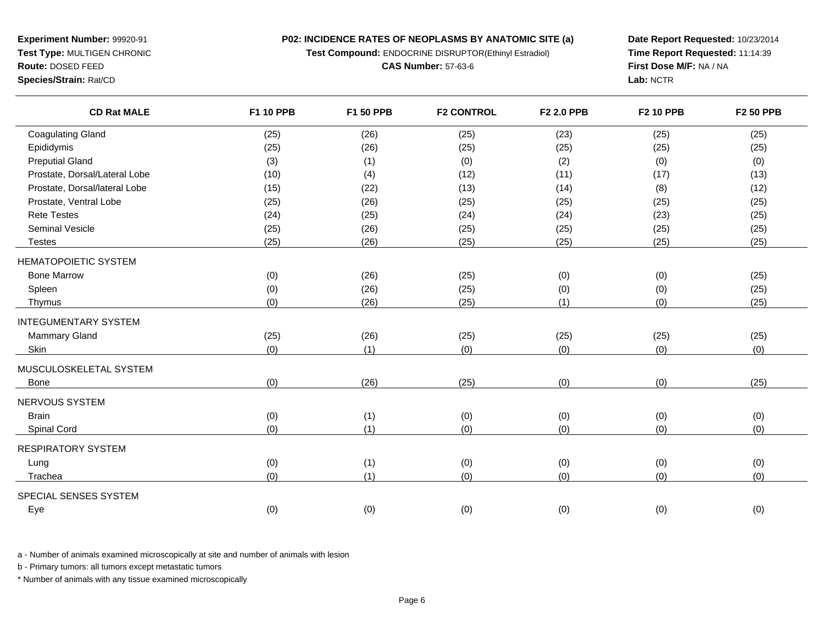**P02: INCIDENCE RATES OF NEOPLASMS BY ANATOMIC SITE (a)Test Compound:** ENDOCRINE DISRUPTOR(Ethinyl Estradiol)

**CAS Number:** 57-63-6

**Experiment Number:** 99920-91**Test Type:** MULTIGEN CHRONIC

# **Route:** DOSED FEED

**Species/Strain:** Rat/CD

**Date Report Requested:** 10/23/2014**Time Report Requested:** 11:14:39**First Dose M/F:** NA / NA**Lab:** NCTR

| <b>CD Rat MALE</b>            | <b>F1 10 PPB</b> | F1 50 PPB | <b>F2 CONTROL</b> | F2 2.0 PPB | <b>F2 10 PPB</b> | F2 50 PPB |
|-------------------------------|------------------|-----------|-------------------|------------|------------------|-----------|
| <b>Coagulating Gland</b>      | (25)             | (26)      | (25)              | (23)       | (25)             | (25)      |
| Epididymis                    | (25)             | (26)      | (25)              | (25)       | (25)             | (25)      |
| <b>Preputial Gland</b>        | (3)              | (1)       | (0)               | (2)        | (0)              | (0)       |
| Prostate, Dorsal/Lateral Lobe | (10)             | (4)       | (12)              | (11)       | (17)             | (13)      |
| Prostate, Dorsal/lateral Lobe | (15)             | (22)      | (13)              | (14)       | (8)              | (12)      |
| Prostate, Ventral Lobe        | (25)             | (26)      | (25)              | (25)       | (25)             | (25)      |
| <b>Rete Testes</b>            | (24)             | (25)      | (24)              | (24)       | (23)             | (25)      |
| <b>Seminal Vesicle</b>        | (25)             | (26)      | (25)              | (25)       | (25)             | (25)      |
| <b>Testes</b>                 | (25)             | (26)      | (25)              | (25)       | (25)             | (25)      |
| <b>HEMATOPOIETIC SYSTEM</b>   |                  |           |                   |            |                  |           |
| <b>Bone Marrow</b>            | (0)              | (26)      | (25)              | (0)        | (0)              | (25)      |
| Spleen                        | (0)              | (26)      | (25)              | (0)        | (0)              | (25)      |
| Thymus                        | (0)              | (26)      | (25)              | (1)        | (0)              | (25)      |
| <b>INTEGUMENTARY SYSTEM</b>   |                  |           |                   |            |                  |           |
| <b>Mammary Gland</b>          | (25)             | (26)      | (25)              | (25)       | (25)             | (25)      |
| Skin                          | (0)              | (1)       | (0)               | (0)        | (0)              | (0)       |
| MUSCULOSKELETAL SYSTEM        |                  |           |                   |            |                  |           |
| <b>Bone</b>                   | (0)              | (26)      | (25)              | (0)        | (0)              | (25)      |
| NERVOUS SYSTEM                |                  |           |                   |            |                  |           |
| <b>Brain</b>                  | (0)              | (1)       | (0)               | (0)        | (0)              | (0)       |
| Spinal Cord                   | (0)              | (1)       | (0)               | (0)        | (0)              | (0)       |
| <b>RESPIRATORY SYSTEM</b>     |                  |           |                   |            |                  |           |
| Lung                          | (0)              | (1)       | (0)               | (0)        | (0)              | (0)       |
| Trachea                       | (0)              | (1)       | (0)               | (0)        | (0)              | (0)       |
| SPECIAL SENSES SYSTEM         |                  |           |                   |            |                  |           |
| Eye                           | (0)              | (0)       | (0)               | (0)        | (0)              | (0)       |

a - Number of animals examined microscopically at site and number of animals with lesion

b - Primary tumors: all tumors except metastatic tumors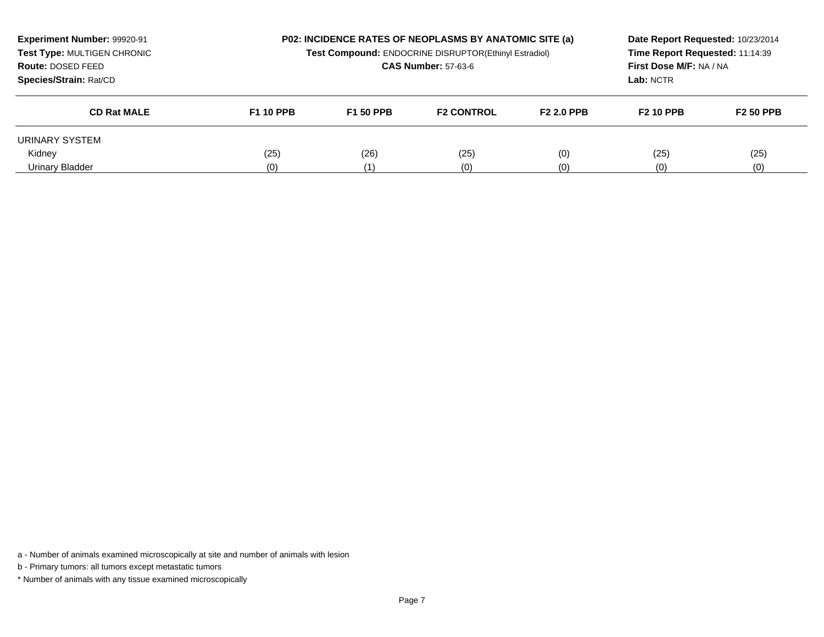| Experiment Number: 99920-91<br>Test Type: MULTIGEN CHRONIC<br>Route: DOSED FEED<br>Species/Strain: Rat/CD |                  | <b>P02: INCIDENCE RATES OF NEOPLASMS BY ANATOMIC SITE (a)</b><br>Test Compound: ENDOCRINE DISRUPTOR(Ethinyl Estradiol)<br><b>CAS Number: 57-63-6</b> |                   |                   | Date Report Requested: 10/23/2014<br>Time Report Requested: 11:14:39<br><b>First Dose M/F: NA / NA</b><br>Lab: NCTR |                  |
|-----------------------------------------------------------------------------------------------------------|------------------|------------------------------------------------------------------------------------------------------------------------------------------------------|-------------------|-------------------|---------------------------------------------------------------------------------------------------------------------|------------------|
| <b>CD Rat MALE</b>                                                                                        | <b>F1 10 PPB</b> | <b>F1 50 PPB</b>                                                                                                                                     | <b>F2 CONTROL</b> | <b>F2 2.0 PPB</b> | <b>F2 10 PPB</b>                                                                                                    | <b>F2 50 PPB</b> |
| URINARY SYSTEM                                                                                            |                  |                                                                                                                                                      |                   |                   |                                                                                                                     |                  |
| Kidney                                                                                                    | (25)             | (26)                                                                                                                                                 | (25)              | (0)               | (25)                                                                                                                | (25)             |
| Urinary Bladder                                                                                           | (0)              |                                                                                                                                                      | (0)               | (0)               | (0)                                                                                                                 | (0)              |

b - Primary tumors: all tumors except metastatic tumors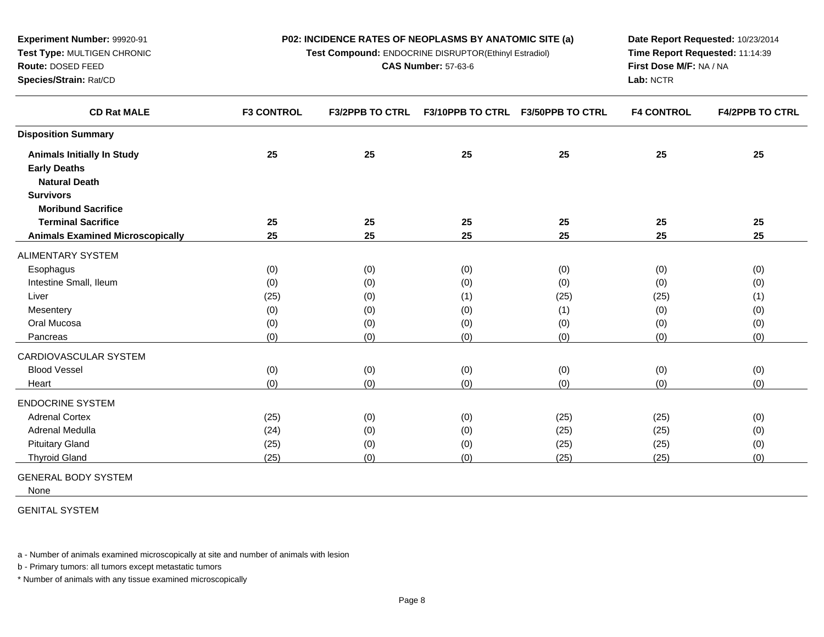**Test Compound:** ENDOCRINE DISRUPTOR(Ethinyl Estradiol)

**CAS Number:** 57-63-6

**Date Report Requested:** 10/23/2014**Time Report Requested:** 11:14:39**First Dose M/F:** NA / NA**Lab:** NCTR

| <b>CD Rat MALE</b>                      | <b>F3 CONTROL</b> | <b>F3/2PPB TO CTRL</b> | F3/10PPB TO CTRL | <b>F3/50PPB TO CTRL</b> | <b>F4 CONTROL</b> | <b>F4/2PPB TO CTRL</b> |
|-----------------------------------------|-------------------|------------------------|------------------|-------------------------|-------------------|------------------------|
| <b>Disposition Summary</b>              |                   |                        |                  |                         |                   |                        |
| <b>Animals Initially In Study</b>       | 25                | 25                     | 25               | 25                      | 25                | 25                     |
| <b>Early Deaths</b>                     |                   |                        |                  |                         |                   |                        |
| <b>Natural Death</b>                    |                   |                        |                  |                         |                   |                        |
| <b>Survivors</b>                        |                   |                        |                  |                         |                   |                        |
| <b>Moribund Sacrifice</b>               |                   |                        |                  |                         |                   |                        |
| <b>Terminal Sacrifice</b>               | 25                | 25                     | 25               | 25                      | 25                | 25                     |
| <b>Animals Examined Microscopically</b> | 25                | 25                     | 25               | 25                      | 25                | 25                     |
| ALIMENTARY SYSTEM                       |                   |                        |                  |                         |                   |                        |
| Esophagus                               | (0)               | (0)                    | (0)              | (0)                     | (0)               | (0)                    |
| Intestine Small, Ileum                  | (0)               | (0)                    | (0)              | (0)                     | (0)               | (0)                    |
| Liver                                   | (25)              | (0)                    | (1)              | (25)                    | (25)              | (1)                    |
| Mesentery                               | (0)               | (0)                    | (0)              | (1)                     | (0)               | (0)                    |
| Oral Mucosa                             | (0)               | (0)                    | (0)              | (0)                     | (0)               | (0)                    |
| Pancreas                                | (0)               | (0)                    | (0)              | (0)                     | (0)               | (0)                    |
| CARDIOVASCULAR SYSTEM                   |                   |                        |                  |                         |                   |                        |
| <b>Blood Vessel</b>                     | (0)               | (0)                    | (0)              | (0)                     | (0)               | (0)                    |
| Heart                                   | (0)               | (0)                    | (0)              | (0)                     | (0)               | (0)                    |
| <b>ENDOCRINE SYSTEM</b>                 |                   |                        |                  |                         |                   |                        |
| <b>Adrenal Cortex</b>                   | (25)              | (0)                    | (0)              | (25)                    | (25)              | (0)                    |
| Adrenal Medulla                         | (24)              | (0)                    | (0)              | (25)                    | (25)              | (0)                    |
| <b>Pituitary Gland</b>                  | (25)              | (0)                    | (0)              | (25)                    | (25)              | (0)                    |
| <b>Thyroid Gland</b>                    | (25)              | (0)                    | (0)              | (25)                    | (25)              | (0)                    |
|                                         |                   |                        |                  |                         |                   |                        |

GENERAL BODY SYSTEM

**Experiment Number:** 99920-91**Test Type:** MULTIGEN CHRONIC

**Route:** DOSED FEED**Species/Strain:** Rat/CD

None

GENITAL SYSTEM

a - Number of animals examined microscopically at site and number of animals with lesion

b - Primary tumors: all tumors except metastatic tumors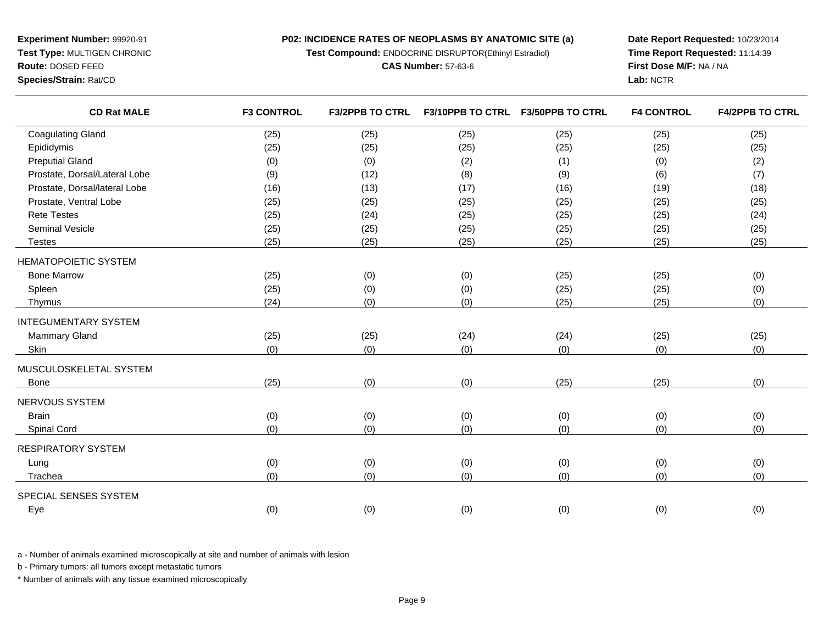**Test Compound:** ENDOCRINE DISRUPTOR(Ethinyl Estradiol)

**CAS Number:** 57-63-6

**Date Report Requested:** 10/23/2014**Time Report Requested:** 11:14:39**First Dose M/F:** NA / NA**Lab:** NCTR

| <b>CD Rat MALE</b>            | <b>F3 CONTROL</b> | <b>F3/2PPB TO CTRL</b> | <b>F3/10PPB TO CTRL</b> | <b>F3/50PPB TO CTRL</b> | <b>F4 CONTROL</b> | <b>F4/2PPB TO CTRL</b> |
|-------------------------------|-------------------|------------------------|-------------------------|-------------------------|-------------------|------------------------|
| <b>Coagulating Gland</b>      | (25)              | (25)                   | (25)                    | (25)                    | (25)              | (25)                   |
| Epididymis                    | (25)              | (25)                   | (25)                    | (25)                    | (25)              | (25)                   |
| <b>Preputial Gland</b>        | (0)               | (0)                    | (2)                     | (1)                     | (0)               | (2)                    |
| Prostate, Dorsal/Lateral Lobe | (9)               | (12)                   | (8)                     | (9)                     | (6)               | (7)                    |
| Prostate, Dorsal/lateral Lobe | (16)              | (13)                   | (17)                    | (16)                    | (19)              | (18)                   |
| Prostate, Ventral Lobe        | (25)              | (25)                   | (25)                    | (25)                    | (25)              | (25)                   |
| <b>Rete Testes</b>            | (25)              | (24)                   | (25)                    | (25)                    | (25)              | (24)                   |
| <b>Seminal Vesicle</b>        | (25)              | (25)                   | (25)                    | (25)                    | (25)              | (25)                   |
| <b>Testes</b>                 | (25)              | (25)                   | (25)                    | (25)                    | (25)              | (25)                   |
| <b>HEMATOPOIETIC SYSTEM</b>   |                   |                        |                         |                         |                   |                        |
| <b>Bone Marrow</b>            | (25)              | (0)                    | (0)                     | (25)                    | (25)              | (0)                    |
| Spleen                        | (25)              | (0)                    | (0)                     | (25)                    | (25)              | (0)                    |
| Thymus                        | (24)              | (0)                    | (0)                     | (25)                    | (25)              | (0)                    |
| <b>INTEGUMENTARY SYSTEM</b>   |                   |                        |                         |                         |                   |                        |
| <b>Mammary Gland</b>          | (25)              | (25)                   | (24)                    | (24)                    | (25)              | (25)                   |
| Skin                          | (0)               | (0)                    | (0)                     | (0)                     | (0)               | (0)                    |
| MUSCULOSKELETAL SYSTEM        |                   |                        |                         |                         |                   |                        |
| <b>Bone</b>                   | (25)              | (0)                    | (0)                     | (25)                    | (25)              | (0)                    |
| NERVOUS SYSTEM                |                   |                        |                         |                         |                   |                        |
| <b>Brain</b>                  | (0)               | (0)                    | (0)                     | (0)                     | (0)               | (0)                    |
| Spinal Cord                   | (0)               | (0)                    | (0)                     | (0)                     | (0)               | (0)                    |
| <b>RESPIRATORY SYSTEM</b>     |                   |                        |                         |                         |                   |                        |
| Lung                          | (0)               | (0)                    | (0)                     | (0)                     | (0)               | (0)                    |
| Trachea                       | (0)               | (0)                    | (0)                     | (0)                     | (0)               | (0)                    |
| SPECIAL SENSES SYSTEM         |                   |                        |                         |                         |                   |                        |
| Eye                           | (0)               | (0)                    | (0)                     | (0)                     | (0)               | (0)                    |

a - Number of animals examined microscopically at site and number of animals with lesion

b - Primary tumors: all tumors except metastatic tumors

\* Number of animals with any tissue examined microscopically

# **Experiment Number:** 99920-91 **Test Type:** MULTIGEN CHRONIC**Route:** DOSED FEED

**Species/Strain:** Rat/CD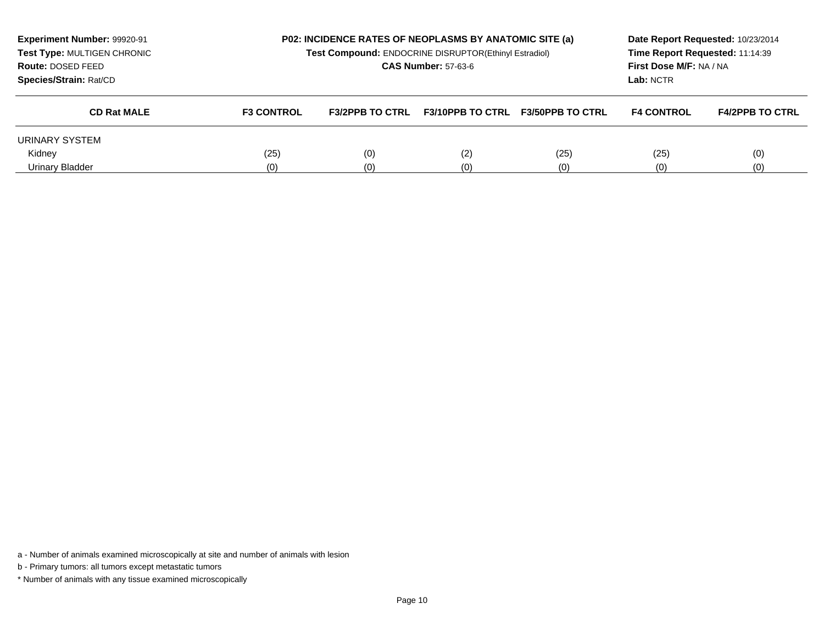| Experiment Number: 99920-91<br>Test Type: MULTIGEN CHRONIC<br>Route: DOSED FEED<br>Species/Strain: Rat/CD | <b>P02: INCIDENCE RATES OF NEOPLASMS BY ANATOMIC SITE (a)</b><br>Test Compound: ENDOCRINE DISRUPTOR(Ethinyl Estradiol)<br><b>CAS Number: 57-63-6</b> |                        |                         | Time Report Requested: 11:14:39<br>First Dose M/F: NA / NA<br>Lab: NCTR | Date Report Requested: 10/23/2014 |                        |
|-----------------------------------------------------------------------------------------------------------|------------------------------------------------------------------------------------------------------------------------------------------------------|------------------------|-------------------------|-------------------------------------------------------------------------|-----------------------------------|------------------------|
| <b>CD Rat MALE</b>                                                                                        | <b>F3 CONTROL</b>                                                                                                                                    | <b>F3/2PPB TO CTRL</b> | <b>F3/10PPB TO CTRL</b> | <b>F3/50PPB TO CTRL</b>                                                 | <b>F4 CONTROL</b>                 | <b>F4/2PPB TO CTRL</b> |
| URINARY SYSTEM                                                                                            |                                                                                                                                                      |                        |                         |                                                                         |                                   |                        |
| Kidney                                                                                                    | (25)                                                                                                                                                 | (0)                    | (2)                     | (25)                                                                    | (25)                              | (0)                    |
| Urinary Bladder                                                                                           | (0)                                                                                                                                                  | (0)                    | (0)                     | (0)                                                                     | (0)                               | (0)                    |

b - Primary tumors: all tumors except metastatic tumors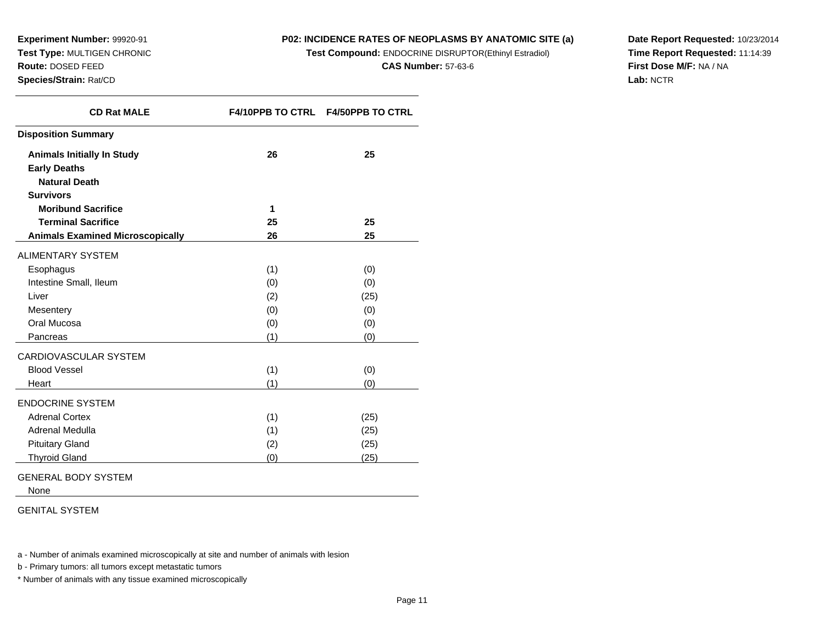**Experiment Number:** 99920-91 **Test Type:** MULTIGEN CHRONIC**Route:** DOSED FEED

#### **Species/Strain:** Rat/CD

# **P02: INCIDENCE RATES OF NEOPLASMS BY ANATOMIC SITE (a)**

**Test Compound:** ENDOCRINE DISRUPTOR(Ethinyl Estradiol)

**CAS Number:** 57-63-6

**Date Report Requested:** 10/23/2014**Time Report Requested:** 11:14:39**First Dose M/F:** NA / NA**Lab:** NCTR

| <b>CD Rat MALE</b>                      | <b>F4/10PPB TO CTRL</b> | <b>F4/50PPB TO CTRL</b> |
|-----------------------------------------|-------------------------|-------------------------|
| <b>Disposition Summary</b>              |                         |                         |
| <b>Animals Initially In Study</b>       | 26                      | 25                      |
| <b>Early Deaths</b>                     |                         |                         |
| <b>Natural Death</b>                    |                         |                         |
| <b>Survivors</b>                        |                         |                         |
| <b>Moribund Sacrifice</b>               | 1                       |                         |
| <b>Terminal Sacrifice</b>               | 25                      | 25                      |
| <b>Animals Examined Microscopically</b> | 26                      | 25                      |
| <b>ALIMENTARY SYSTEM</b>                |                         |                         |
| Esophagus                               | (1)                     | (0)                     |
| Intestine Small, Ileum                  | (0)                     | (0)                     |
| Liver                                   | (2)                     | (25)                    |
| Mesentery                               | (0)                     | (0)                     |
| Oral Mucosa                             | (0)                     | (0)                     |
| Pancreas                                | (1)                     | (0)                     |
| <b>CARDIOVASCULAR SYSTEM</b>            |                         |                         |
| <b>Blood Vessel</b>                     | (1)                     | (0)                     |
| Heart                                   | (1)                     | (0)                     |
| <b>ENDOCRINE SYSTEM</b>                 |                         |                         |
| <b>Adrenal Cortex</b>                   | (1)                     | (25)                    |
| Adrenal Medulla                         | (1)                     | (25)                    |
| <b>Pituitary Gland</b>                  | (2)                     | (25)                    |
| <b>Thyroid Gland</b>                    | (0)                     | (25)                    |

GENERAL BODY SYSTEM

None

GENITAL SYSTEM

a - Number of animals examined microscopically at site and number of animals with lesion

b - Primary tumors: all tumors except metastatic tumors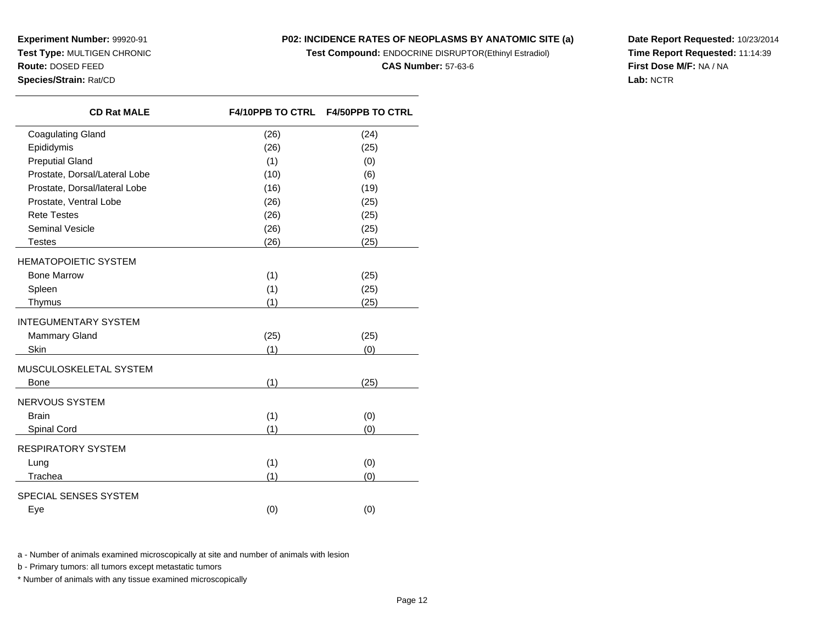**Experiment Number:** 99920-91 **Test Type:** MULTIGEN CHRONIC**Route:** DOSED FEED**Species/Strain:** Rat/CD

# **P02: INCIDENCE RATES OF NEOPLASMS BY ANATOMIC SITE (a)**

**Test Compound:** ENDOCRINE DISRUPTOR(Ethinyl Estradiol)

**CAS Number:** 57-63-6

**Date Report Requested:** 10/23/2014**Time Report Requested:** 11:14:39**First Dose M/F:** NA / NA**Lab:** NCTR

| <b>CD Rat MALE</b>            | <b>F4/10PPB TO CTRL</b> | <b>F4/50PPB TO CTRL</b> |
|-------------------------------|-------------------------|-------------------------|
| <b>Coagulating Gland</b>      | (26)                    | (24)                    |
| Epididymis                    | (26)                    | (25)                    |
| <b>Preputial Gland</b>        | (1)                     | (0)                     |
| Prostate, Dorsal/Lateral Lobe | (10)                    | (6)                     |
| Prostate, Dorsal/lateral Lobe | (16)                    | (19)                    |
| Prostate, Ventral Lobe        | (26)                    | (25)                    |
| <b>Rete Testes</b>            | (26)                    | (25)                    |
| Seminal Vesicle               | (26)                    | (25)                    |
| <b>Testes</b>                 | (26)                    | (25)                    |
| <b>HEMATOPOIETIC SYSTEM</b>   |                         |                         |
| <b>Bone Marrow</b>            | (1)                     | (25)                    |
| Spleen                        | (1)                     | (25)                    |
| Thymus                        | (1)                     | (25)                    |
| <b>INTEGUMENTARY SYSTEM</b>   |                         |                         |
| <b>Mammary Gland</b>          | (25)                    | (25)                    |
| Skin                          | (1)                     | (0)                     |
| MUSCULOSKELETAL SYSTEM        |                         |                         |
| Bone                          | (1)                     | (25)                    |
| NERVOUS SYSTEM                |                         |                         |
| <b>Brain</b>                  | (1)                     | (0)                     |
| Spinal Cord                   | (1)                     | (0)                     |
| <b>RESPIRATORY SYSTEM</b>     |                         |                         |
| Lung                          | (1)                     | (0)                     |
| Trachea                       | (1)                     | (0)                     |
| SPECIAL SENSES SYSTEM         |                         |                         |
| Eye                           | (0)                     | (0)                     |

a - Number of animals examined microscopically at site and number of animals with lesion

b - Primary tumors: all tumors except metastatic tumors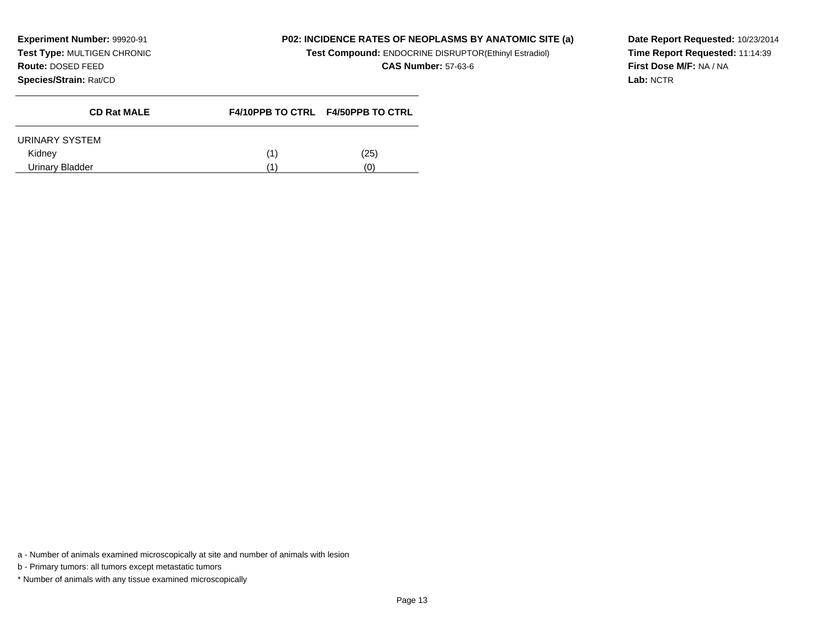**Experiment Number:** 99920-91 **Test Type:** MULTIGEN CHRONIC**Route:** DOSED FEED**Species/Strain:** Rat/CD

# **P02: INCIDENCE RATES OF NEOPLASMS BY ANATOMIC SITE (a)**

**Test Compound:** ENDOCRINE DISRUPTOR(Ethinyl Estradiol)

**CAS Number:** 57-63-6

**Date Report Requested:** 10/23/2014**Time Report Requested:** 11:14:39**First Dose M/F:** NA / NA**Lab:** NCTR

| <b>CD Rat MALE</b> | F4/10PPB TO CTRL F4/50PPB TO CTRL |
|--------------------|-----------------------------------|
| URINARY SYSTEM     |                                   |
| Kidney             | (25)                              |
| Urinary Bladder    | Ό١                                |

a - Number of animals examined microscopically at site and number of animals with lesion

b - Primary tumors: all tumors except metastatic tumors

\* Number of animals with any tissue examined microscopically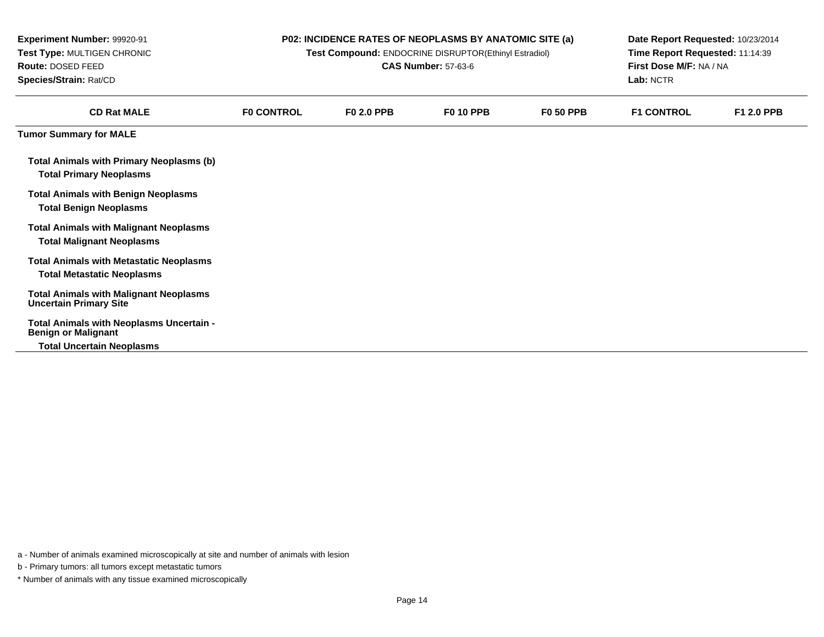| <b>Experiment Number: 99920-91</b><br>Test Type: MULTIGEN CHRONIC<br>Route: DOSED FEED<br>Species/Strain: Rat/CD |                   | <b>P02: INCIDENCE RATES OF NEOPLASMS BY ANATOMIC SITE (a)</b><br>Date Report Requested: 10/23/2014<br>Time Report Requested: 11:14:39<br>Test Compound: ENDOCRINE DISRUPTOR(Ethinyl Estradiol)<br>First Dose M/F: NA / NA<br><b>CAS Number: 57-63-6</b><br>Lab: NCTR |                  |                  |                   |                   |
|------------------------------------------------------------------------------------------------------------------|-------------------|----------------------------------------------------------------------------------------------------------------------------------------------------------------------------------------------------------------------------------------------------------------------|------------------|------------------|-------------------|-------------------|
| <b>CD Rat MALE</b>                                                                                               | <b>FO CONTROL</b> | <b>F0 2.0 PPB</b>                                                                                                                                                                                                                                                    | <b>F0 10 PPB</b> | <b>F0 50 PPB</b> | <b>F1 CONTROL</b> | <b>F1 2.0 PPB</b> |
| <b>Tumor Summary for MALE</b>                                                                                    |                   |                                                                                                                                                                                                                                                                      |                  |                  |                   |                   |
| <b>Total Animals with Primary Neoplasms (b)</b><br><b>Total Primary Neoplasms</b>                                |                   |                                                                                                                                                                                                                                                                      |                  |                  |                   |                   |
| <b>Total Animals with Benign Neoplasms</b><br><b>Total Benign Neoplasms</b>                                      |                   |                                                                                                                                                                                                                                                                      |                  |                  |                   |                   |
| <b>Total Animals with Malignant Neoplasms</b><br><b>Total Malignant Neoplasms</b>                                |                   |                                                                                                                                                                                                                                                                      |                  |                  |                   |                   |
| <b>Total Animals with Metastatic Neoplasms</b><br><b>Total Metastatic Neoplasms</b>                              |                   |                                                                                                                                                                                                                                                                      |                  |                  |                   |                   |
| <b>Total Animals with Malignant Neoplasms</b><br><b>Uncertain Primary Site</b>                                   |                   |                                                                                                                                                                                                                                                                      |                  |                  |                   |                   |
| Total Animals with Neoplasms Uncertain -<br><b>Benign or Malignant</b>                                           |                   |                                                                                                                                                                                                                                                                      |                  |                  |                   |                   |
| <b>Total Uncertain Neoplasms</b>                                                                                 |                   |                                                                                                                                                                                                                                                                      |                  |                  |                   |                   |

b - Primary tumors: all tumors except metastatic tumors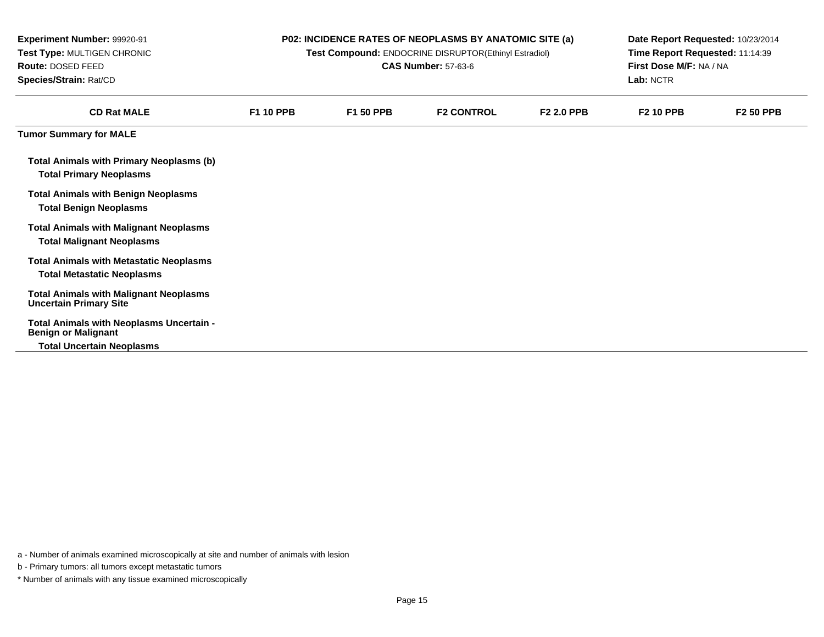| Experiment Number: 99920-91<br>Test Type: MULTIGEN CHRONIC<br>Route: DOSED FEED<br>Species/Strain: Rat/CD |                  | P02: INCIDENCE RATES OF NEOPLASMS BY ANATOMIC SITE (a)<br>Test Compound: ENDOCRINE DISRUPTOR(Ethinyl Estradiol)<br><b>CAS Number: 57-63-6</b> | Date Report Requested: 10/23/2014<br>Time Report Requested: 11:14:39<br>First Dose M/F: NA / NA<br>Lab: NCTR |                   |                  |                  |
|-----------------------------------------------------------------------------------------------------------|------------------|-----------------------------------------------------------------------------------------------------------------------------------------------|--------------------------------------------------------------------------------------------------------------|-------------------|------------------|------------------|
| <b>CD Rat MALE</b>                                                                                        | <b>F1 10 PPB</b> | <b>F1 50 PPB</b>                                                                                                                              | <b>F2 CONTROL</b>                                                                                            | <b>F2 2.0 PPB</b> | <b>F2 10 PPB</b> | <b>F2 50 PPB</b> |
| <b>Tumor Summary for MALE</b>                                                                             |                  |                                                                                                                                               |                                                                                                              |                   |                  |                  |
| <b>Total Animals with Primary Neoplasms (b)</b><br><b>Total Primary Neoplasms</b>                         |                  |                                                                                                                                               |                                                                                                              |                   |                  |                  |
| <b>Total Animals with Benign Neoplasms</b><br><b>Total Benign Neoplasms</b>                               |                  |                                                                                                                                               |                                                                                                              |                   |                  |                  |
| <b>Total Animals with Malignant Neoplasms</b><br><b>Total Malignant Neoplasms</b>                         |                  |                                                                                                                                               |                                                                                                              |                   |                  |                  |
| <b>Total Animals with Metastatic Neoplasms</b><br><b>Total Metastatic Neoplasms</b>                       |                  |                                                                                                                                               |                                                                                                              |                   |                  |                  |
| <b>Total Animals with Malignant Neoplasms</b><br><b>Uncertain Primary Site</b>                            |                  |                                                                                                                                               |                                                                                                              |                   |                  |                  |
| Total Animals with Neoplasms Uncertain -<br><b>Benign or Malignant</b>                                    |                  |                                                                                                                                               |                                                                                                              |                   |                  |                  |
| <b>Total Uncertain Neoplasms</b>                                                                          |                  |                                                                                                                                               |                                                                                                              |                   |                  |                  |

b - Primary tumors: all tumors except metastatic tumors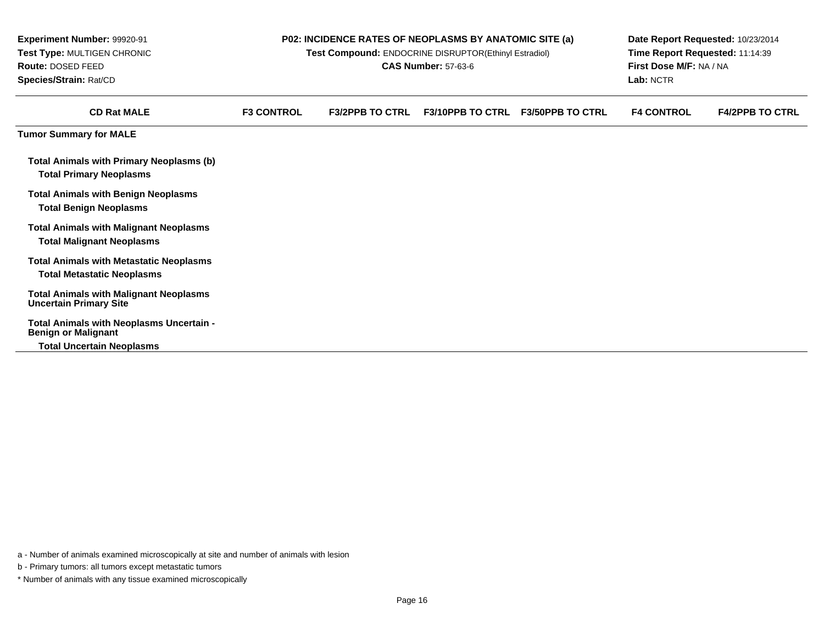| Experiment Number: 99920-91<br>Test Type: MULTIGEN CHRONIC<br>Route: DOSED FEED<br>Species/Strain: Rat/CD  |                   | P02: INCIDENCE RATES OF NEOPLASMS BY ANATOMIC SITE (a)<br>Test Compound: ENDOCRINE DISRUPTOR(Ethinyl Estradiol)<br><b>CAS Number: 57-63-6</b> | Date Report Requested: 10/23/2014<br>Time Report Requested: 11:14:39<br>First Dose M/F: NA / NA<br>Lab: NCTR |                         |                   |                        |
|------------------------------------------------------------------------------------------------------------|-------------------|-----------------------------------------------------------------------------------------------------------------------------------------------|--------------------------------------------------------------------------------------------------------------|-------------------------|-------------------|------------------------|
| <b>CD Rat MALE</b>                                                                                         | <b>F3 CONTROL</b> | <b>F3/2PPB TO CTRL</b>                                                                                                                        | <b>F3/10PPB TO CTRL</b>                                                                                      | <b>F3/50PPB TO CTRL</b> | <b>F4 CONTROL</b> | <b>F4/2PPB TO CTRL</b> |
| <b>Tumor Summary for MALE</b>                                                                              |                   |                                                                                                                                               |                                                                                                              |                         |                   |                        |
| <b>Total Animals with Primary Neoplasms (b)</b><br><b>Total Primary Neoplasms</b>                          |                   |                                                                                                                                               |                                                                                                              |                         |                   |                        |
| <b>Total Animals with Benign Neoplasms</b><br><b>Total Benign Neoplasms</b>                                |                   |                                                                                                                                               |                                                                                                              |                         |                   |                        |
| <b>Total Animals with Malignant Neoplasms</b><br><b>Total Malignant Neoplasms</b>                          |                   |                                                                                                                                               |                                                                                                              |                         |                   |                        |
| <b>Total Animals with Metastatic Neoplasms</b><br><b>Total Metastatic Neoplasms</b>                        |                   |                                                                                                                                               |                                                                                                              |                         |                   |                        |
| <b>Total Animals with Malignant Neoplasms</b><br><b>Uncertain Primary Site</b>                             |                   |                                                                                                                                               |                                                                                                              |                         |                   |                        |
| Total Animals with Neoplasms Uncertain -<br><b>Benign or Malignant</b><br><b>Total Uncertain Neoplasms</b> |                   |                                                                                                                                               |                                                                                                              |                         |                   |                        |

a - Number of animals examined microscopically at site and number of animals with lesion

b - Primary tumors: all tumors except metastatic tumors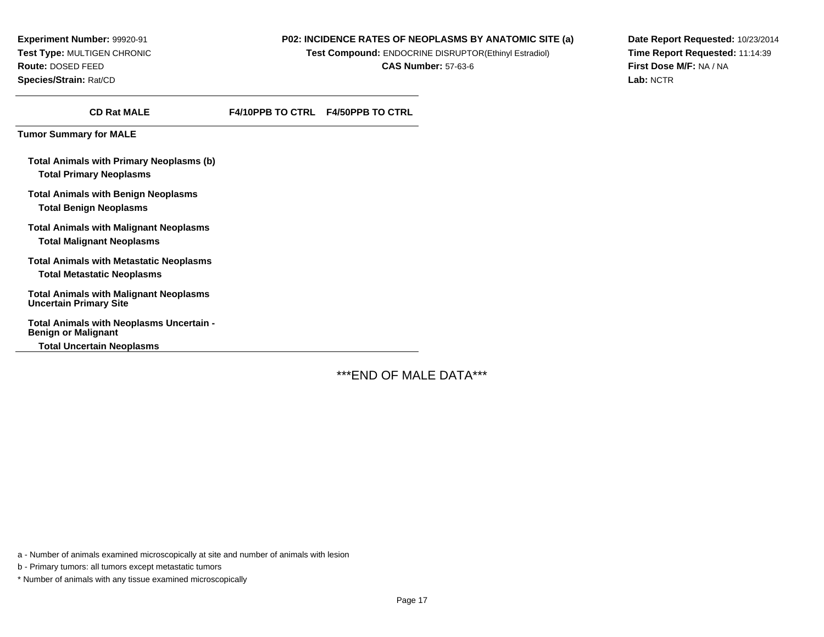**Experiment Number:** 99920-91**Test Type:** MULTIGEN CHRONIC**Route:** DOSED FEED**Species/Strain:** Rat/CD

#### **P02: INCIDENCE RATES OF NEOPLASMS BY ANATOMIC SITE (a)**

**Test Compound:** ENDOCRINE DISRUPTOR(Ethinyl Estradiol)

**CAS Number:** 57-63-6

**Date Report Requested:** 10/23/2014**Time Report Requested:** 11:14:39**First Dose M/F:** NA / NA**Lab:** NCTR

**CD Rat MALEF4/10PPB TO CTRL F4/50PPB TO CTRL**

**Tumor Summary for MALE**

**Total Animals with Primary Neoplasms (b)Total Primary Neoplasms**

**Total Animals with Benign NeoplasmsTotal Benign Neoplasms**

**Total Animals with Malignant NeoplasmsTotal Malignant Neoplasms**

**Total Animals with Metastatic NeoplasmsTotal Metastatic Neoplasms**

**Total Animals with Malignant Neoplasms Uncertain Primary Site**

**Total Animals with Neoplasms Uncertain -Benign or Malignant**

**Total Uncertain Neoplasms**

\*\*\*END OF MALE DATA\*\*\*

a - Number of animals examined microscopically at site and number of animals with lesion

b - Primary tumors: all tumors except metastatic tumors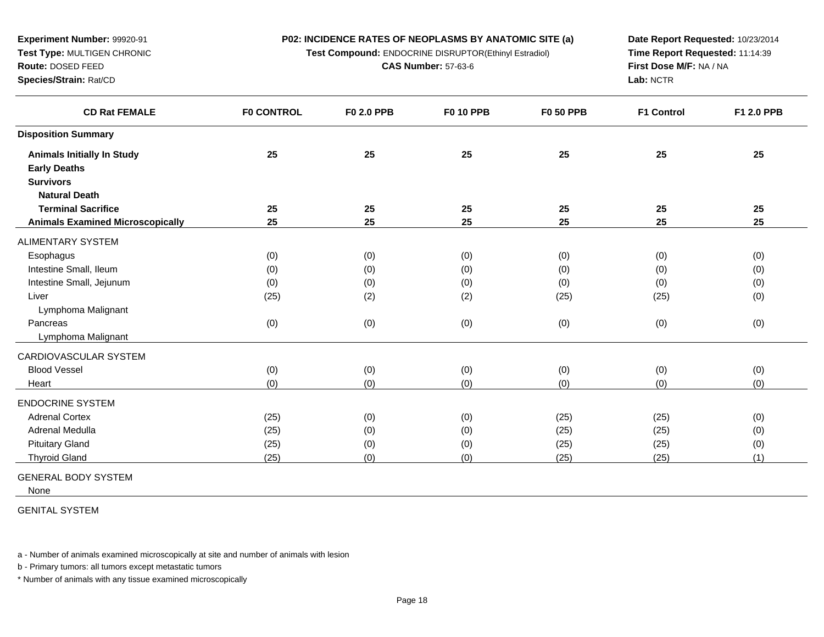**Test Compound:** ENDOCRINE DISRUPTOR(Ethinyl Estradiol)

**CAS Number:** 57-63-6

**Date Report Requested:** 10/23/2014**Time Report Requested:** 11:14:39**First Dose M/F:** NA / NA**Lab:** NCTR

| <b>CD Rat FEMALE</b>                    | <b>FO CONTROL</b> | <b>F0 2.0 PPB</b> | <b>F0 10 PPB</b> | <b>F0 50 PPB</b> | <b>F1 Control</b> | <b>F1 2.0 PPB</b> |
|-----------------------------------------|-------------------|-------------------|------------------|------------------|-------------------|-------------------|
| <b>Disposition Summary</b>              |                   |                   |                  |                  |                   |                   |
| <b>Animals Initially In Study</b>       | 25                | 25                | 25               | 25               | 25                | 25                |
| <b>Early Deaths</b>                     |                   |                   |                  |                  |                   |                   |
| <b>Survivors</b>                        |                   |                   |                  |                  |                   |                   |
| <b>Natural Death</b>                    |                   |                   |                  |                  |                   |                   |
| <b>Terminal Sacrifice</b>               | 25                | 25                | 25               | 25               | 25                | 25                |
| <b>Animals Examined Microscopically</b> | 25                | 25                | 25               | 25               | 25                | 25                |
| <b>ALIMENTARY SYSTEM</b>                |                   |                   |                  |                  |                   |                   |
| Esophagus                               | (0)               | (0)               | (0)              | (0)              | (0)               | (0)               |
| Intestine Small, Ileum                  | (0)               | (0)               | (0)              | (0)              | (0)               | (0)               |
| Intestine Small, Jejunum                | (0)               | (0)               | (0)              | (0)              | (0)               | (0)               |
| Liver                                   | (25)              | (2)               | (2)              | (25)             | (25)              | (0)               |
| Lymphoma Malignant                      |                   |                   |                  |                  |                   |                   |
| Pancreas                                | (0)               | (0)               | (0)              | (0)              | (0)               | (0)               |
| Lymphoma Malignant                      |                   |                   |                  |                  |                   |                   |
| CARDIOVASCULAR SYSTEM                   |                   |                   |                  |                  |                   |                   |
| <b>Blood Vessel</b>                     | (0)               | (0)               | (0)              | (0)              | (0)               | (0)               |
| Heart                                   | (0)               | (0)               | (0)              | (0)              | (0)               | (0)               |
| <b>ENDOCRINE SYSTEM</b>                 |                   |                   |                  |                  |                   |                   |
| <b>Adrenal Cortex</b>                   | (25)              | (0)               | (0)              | (25)             | (25)              | (0)               |
| Adrenal Medulla                         | (25)              | (0)               | (0)              | (25)             | (25)              | (0)               |
| <b>Pituitary Gland</b>                  | (25)              | (0)               | (0)              | (25)             | (25)              | (0)               |
| <b>Thyroid Gland</b>                    | (25)              | (0)               | (0)              | (25)             | (25)              | (1)               |

GENERAL BODY SYSTEM

**Experiment Number:** 99920-91**Test Type:** MULTIGEN CHRONIC

**Route:** DOSED FEED**Species/Strain:** Rat/CD

None

GENITAL SYSTEM

a - Number of animals examined microscopically at site and number of animals with lesion

b - Primary tumors: all tumors except metastatic tumors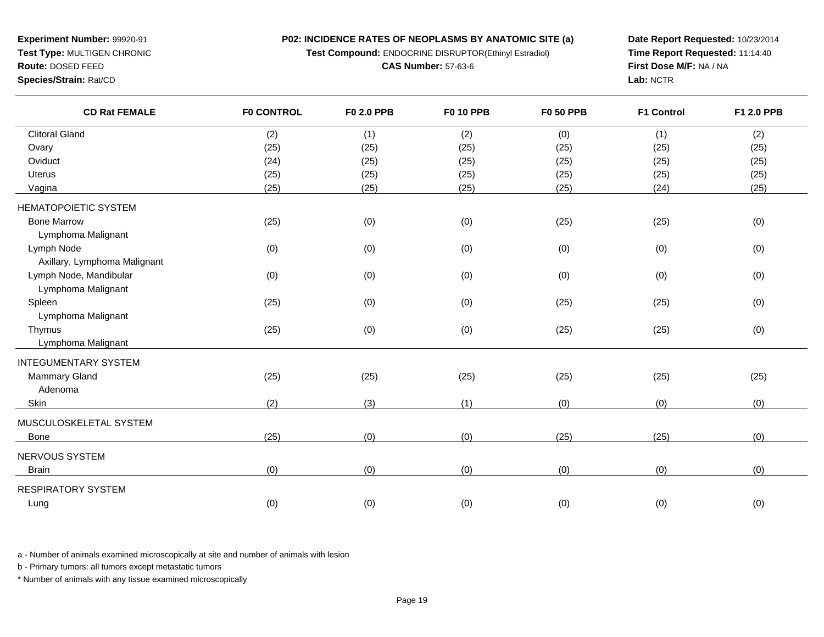**P02: INCIDENCE RATES OF NEOPLASMS BY ANATOMIC SITE (a)Test Compound:** ENDOCRINE DISRUPTOR(Ethinyl Estradiol)

**CAS Number:** 57-63-6

**Experiment Number:** 99920-91**Test Type:** MULTIGEN CHRONIC

**Route:** DOSED FEED

**Species/Strain:** Rat/CD

**Date Report Requested:** 10/23/2014**Time Report Requested:** 11:14:40**First Dose M/F:** NA / NA**Lab:** NCTR

| <b>CD Rat FEMALE</b>         | <b>F0 CONTROL</b> | F0 2.0 PPB | <b>F0 10 PPB</b> | <b>F0 50 PPB</b> | <b>F1 Control</b> | F1 2.0 PPB |
|------------------------------|-------------------|------------|------------------|------------------|-------------------|------------|
| <b>Clitoral Gland</b>        | (2)               | (1)        | (2)              | (0)              | (1)               | (2)        |
| Ovary                        | (25)              | (25)       | (25)             | (25)             | (25)              | (25)       |
| Oviduct                      | (24)              | (25)       | (25)             | (25)             | (25)              | (25)       |
| <b>Uterus</b>                | (25)              | (25)       | (25)             | (25)             | (25)              | (25)       |
| Vagina                       | (25)              | (25)       | (25)             | (25)             | (24)              | (25)       |
| <b>HEMATOPOIETIC SYSTEM</b>  |                   |            |                  |                  |                   |            |
| <b>Bone Marrow</b>           | (25)              | (0)        | (0)              | (25)             | (25)              | (0)        |
| Lymphoma Malignant           |                   |            |                  |                  |                   |            |
| Lymph Node                   | (0)               | (0)        | (0)              | (0)              | (0)               | (0)        |
| Axillary, Lymphoma Malignant |                   |            |                  |                  |                   |            |
| Lymph Node, Mandibular       | (0)               | (0)        | (0)              | (0)              | (0)               | (0)        |
| Lymphoma Malignant           |                   |            |                  |                  |                   |            |
| Spleen                       | (25)              | (0)        | (0)              | (25)             | (25)              | (0)        |
| Lymphoma Malignant           |                   |            |                  |                  |                   |            |
| Thymus                       | (25)              | (0)        | (0)              | (25)             | (25)              | (0)        |
| Lymphoma Malignant           |                   |            |                  |                  |                   |            |
| <b>INTEGUMENTARY SYSTEM</b>  |                   |            |                  |                  |                   |            |
| <b>Mammary Gland</b>         | (25)              | (25)       | (25)             | (25)             | (25)              | (25)       |
| Adenoma                      |                   |            |                  |                  |                   |            |
| Skin                         | (2)               | (3)        | (1)              | (0)              | (0)               | (0)        |
| MUSCULOSKELETAL SYSTEM       |                   |            |                  |                  |                   |            |
| Bone                         | (25)              | (0)        | (0)              | (25)             | (25)              | (0)        |
| NERVOUS SYSTEM               |                   |            |                  |                  |                   |            |
| <b>Brain</b>                 | (0)               | (0)        | (0)              | (0)              | (0)               | (0)        |
| <b>RESPIRATORY SYSTEM</b>    |                   |            |                  |                  |                   |            |
| Lung                         | (0)               | (0)        | (0)              | (0)              | (0)               | (0)        |

a - Number of animals examined microscopically at site and number of animals with lesion

b - Primary tumors: all tumors except metastatic tumors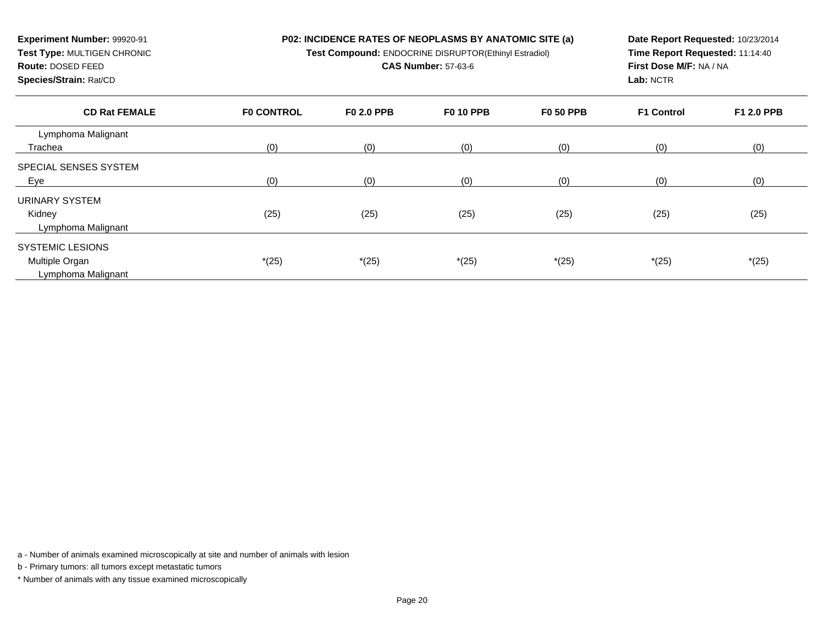**Test Compound:** ENDOCRINE DISRUPTOR(Ethinyl Estradiol)

**CAS Number:** 57-63-6

**Route:** DOSED FEED**Species/Strain:** Rat/CD

**Experiment Number:** 99920-91**Test Type:** MULTIGEN CHRONIC

**Date Report Requested:** 10/23/2014**Time Report Requested:** 11:14:40**First Dose M/F:** NA / NA**Lab:** NCTR

| <b>CD Rat FEMALE</b>         | <b>FO CONTROL</b> | <b>F0 2.0 PPB</b> | <b>F0 10 PPB</b> | <b>F0 50 PPB</b> | <b>F1 Control</b> | F1 2.0 PPB |
|------------------------------|-------------------|-------------------|------------------|------------------|-------------------|------------|
| Lymphoma Malignant           |                   |                   |                  |                  |                   |            |
| Trachea                      | (0)               | (0)               | (0)              | (0)              | (0)               | (0)        |
| <b>SPECIAL SENSES SYSTEM</b> |                   |                   |                  |                  |                   |            |
| Eye                          | (0)               | (0)               | (0)              | (0)              | (0)               | (0)        |
| URINARY SYSTEM               |                   |                   |                  |                  |                   |            |
| Kidney                       | (25)              | (25)              | (25)             | (25)             | (25)              | (25)       |
| Lymphoma Malignant           |                   |                   |                  |                  |                   |            |
| <b>SYSTEMIC LESIONS</b>      |                   |                   |                  |                  |                   |            |
| Multiple Organ               | $*(25)$           | $*(25)$           | $*(25)$          | $*(25)$          | $*(25)$           | $*(25)$    |
| Lymphoma Malignant           |                   |                   |                  |                  |                   |            |

a - Number of animals examined microscopically at site and number of animals with lesion

b - Primary tumors: all tumors except metastatic tumors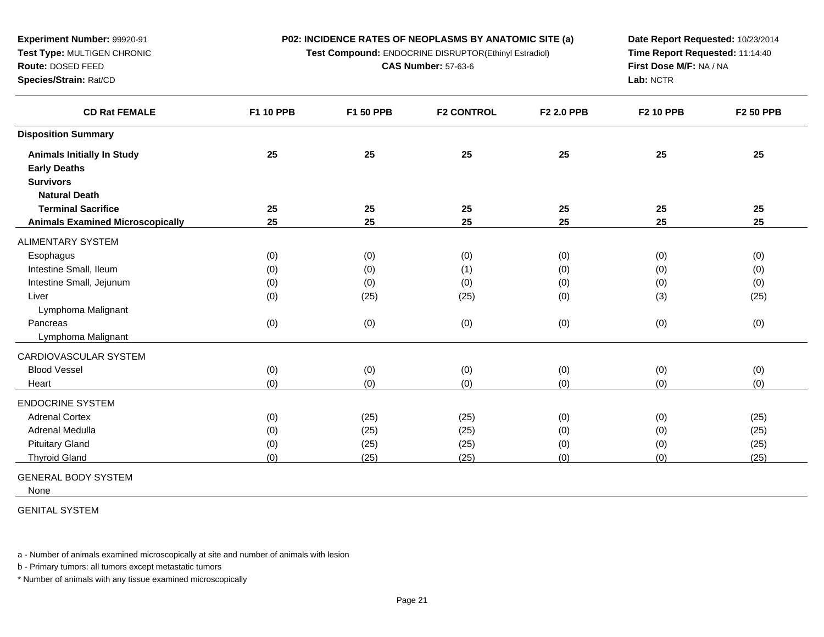**Test Compound:** ENDOCRINE DISRUPTOR(Ethinyl Estradiol)

**CAS Number:** 57-63-6

**Date Report Requested:** 10/23/2014**Time Report Requested:** 11:14:40**First Dose M/F:** NA / NA**Lab:** NCTR

| <b>CD Rat FEMALE</b>                    | F1 10 PPB | F1 50 PPB | <b>F2 CONTROL</b> | F2 2.0 PPB | <b>F2 10 PPB</b> | <b>F2 50 PPB</b> |
|-----------------------------------------|-----------|-----------|-------------------|------------|------------------|------------------|
| <b>Disposition Summary</b>              |           |           |                   |            |                  |                  |
| <b>Animals Initially In Study</b>       | 25        | 25        | 25                | 25         | 25               | 25               |
| <b>Early Deaths</b>                     |           |           |                   |            |                  |                  |
| <b>Survivors</b>                        |           |           |                   |            |                  |                  |
| <b>Natural Death</b>                    |           |           |                   |            |                  |                  |
| <b>Terminal Sacrifice</b>               | 25        | 25        | 25                | 25         | 25               | 25               |
| <b>Animals Examined Microscopically</b> | 25        | 25        | 25                | 25         | 25               | 25               |
| ALIMENTARY SYSTEM                       |           |           |                   |            |                  |                  |
| Esophagus                               | (0)       | (0)       | (0)               | (0)        | (0)              | (0)              |
| Intestine Small, Ileum                  | (0)       | (0)       | (1)               | (0)        | (0)              | (0)              |
| Intestine Small, Jejunum                | (0)       | (0)       | (0)               | (0)        | (0)              | (0)              |
| Liver                                   | (0)       | (25)      | (25)              | (0)        | (3)              | (25)             |
| Lymphoma Malignant                      |           |           |                   |            |                  |                  |
| Pancreas                                | (0)       | (0)       | (0)               | (0)        | (0)              | (0)              |
| Lymphoma Malignant                      |           |           |                   |            |                  |                  |
| CARDIOVASCULAR SYSTEM                   |           |           |                   |            |                  |                  |
| <b>Blood Vessel</b>                     | (0)       | (0)       | (0)               | (0)        | (0)              | (0)              |
| Heart                                   | (0)       | (0)       | (0)               | (0)        | (0)              | (0)              |
| <b>ENDOCRINE SYSTEM</b>                 |           |           |                   |            |                  |                  |
| <b>Adrenal Cortex</b>                   | (0)       | (25)      | (25)              | (0)        | (0)              | (25)             |
| Adrenal Medulla                         | (0)       | (25)      | (25)              | (0)        | (0)              | (25)             |
| <b>Pituitary Gland</b>                  | (0)       | (25)      | (25)              | (0)        | (0)              | (25)             |
| <b>Thyroid Gland</b>                    | (0)       | (25)      | (25)              | (0)        | (0)              | (25)             |
|                                         |           |           |                   |            |                  |                  |

GENERAL BODY SYSTEM

**Experiment Number:** 99920-91**Test Type:** MULTIGEN CHRONIC

**Route:** DOSED FEED**Species/Strain:** Rat/CD

None

GENITAL SYSTEM

a - Number of animals examined microscopically at site and number of animals with lesion

b - Primary tumors: all tumors except metastatic tumors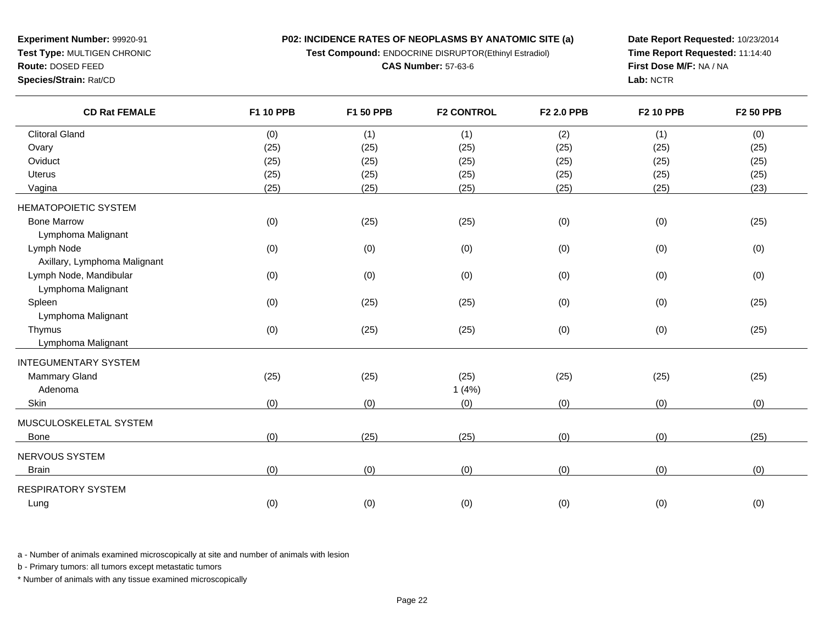**P02: INCIDENCE RATES OF NEOPLASMS BY ANATOMIC SITE (a)Test Compound:** ENDOCRINE DISRUPTOR(Ethinyl Estradiol)

**CAS Number:** 57-63-6

**Experiment Number:** 99920-91**Test Type:** MULTIGEN CHRONIC

**Route:** DOSED FEED

**Species/Strain:** Rat/CD

**Date Report Requested:** 10/23/2014**Time Report Requested:** 11:14:40**First Dose M/F:** NA / NA**Lab:** NCTR

| <b>CD Rat FEMALE</b>         | F1 10 PPB | F1 50 PPB | <b>F2 CONTROL</b> | F2 2.0 PPB | <b>F2 10 PPB</b> | <b>F2 50 PPB</b> |
|------------------------------|-----------|-----------|-------------------|------------|------------------|------------------|
| <b>Clitoral Gland</b>        | (0)       | (1)       | (1)               | (2)        | (1)              | (0)              |
| Ovary                        | (25)      | (25)      | (25)              | (25)       | (25)             | (25)             |
| Oviduct                      | (25)      | (25)      | (25)              | (25)       | (25)             | (25)             |
| Uterus                       | (25)      | (25)      | (25)              | (25)       | (25)             | (25)             |
| Vagina                       | (25)      | (25)      | (25)              | (25)       | (25)             | (23)             |
| <b>HEMATOPOIETIC SYSTEM</b>  |           |           |                   |            |                  |                  |
| <b>Bone Marrow</b>           | (0)       | (25)      | (25)              | (0)        | (0)              | (25)             |
| Lymphoma Malignant           |           |           |                   |            |                  |                  |
| Lymph Node                   | (0)       | (0)       | (0)               | (0)        | (0)              | (0)              |
| Axillary, Lymphoma Malignant |           |           |                   |            |                  |                  |
| Lymph Node, Mandibular       | (0)       | (0)       | (0)               | (0)        | (0)              | (0)              |
| Lymphoma Malignant           |           |           |                   |            |                  |                  |
| Spleen                       | (0)       | (25)      | (25)              | (0)        | (0)              | (25)             |
| Lymphoma Malignant           |           |           |                   |            |                  |                  |
| Thymus                       | (0)       | (25)      | (25)              | (0)        | (0)              | (25)             |
| Lymphoma Malignant           |           |           |                   |            |                  |                  |
| <b>INTEGUMENTARY SYSTEM</b>  |           |           |                   |            |                  |                  |
| <b>Mammary Gland</b>         | (25)      | (25)      | (25)              | (25)       | (25)             | (25)             |
| Adenoma                      |           |           | 1(4%)             |            |                  |                  |
| Skin                         | (0)       | (0)       | (0)               | (0)        | (0)              | (0)              |
| MUSCULOSKELETAL SYSTEM       |           |           |                   |            |                  |                  |
| Bone                         | (0)       | (25)      | (25)              | (0)        | (0)              | (25)             |
| NERVOUS SYSTEM               |           |           |                   |            |                  |                  |
| <b>Brain</b>                 | (0)       | (0)       | (0)               | (0)        | (0)              | (0)              |
| <b>RESPIRATORY SYSTEM</b>    |           |           |                   |            |                  |                  |
| Lung                         | (0)       | (0)       | (0)               | (0)        | (0)              | (0)              |

a - Number of animals examined microscopically at site and number of animals with lesion

b - Primary tumors: all tumors except metastatic tumors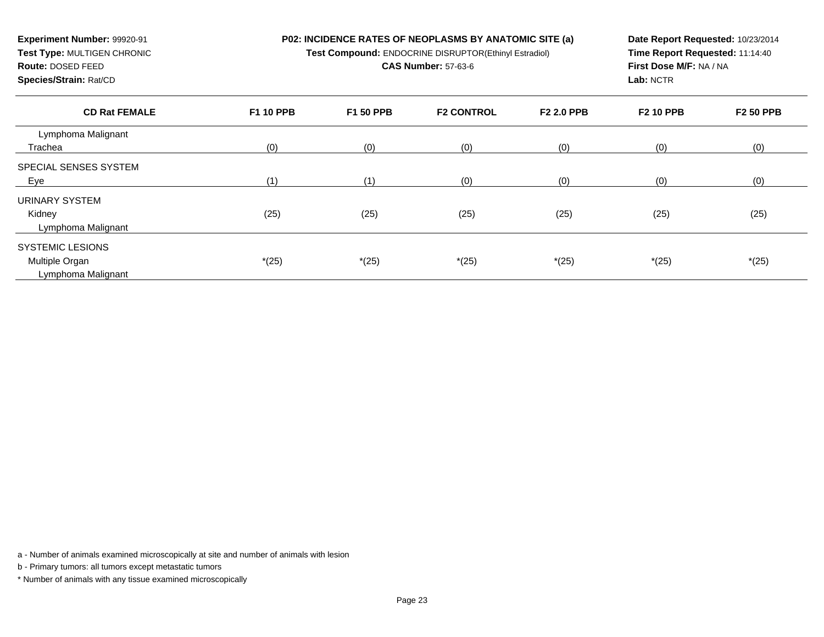**Test Compound:** ENDOCRINE DISRUPTOR(Ethinyl Estradiol)

**CAS Number:** 57-63-6

**Species/Strain:** Rat/CD

**Route:** DOSED FEED

**Experiment Number:** 99920-91**Test Type:** MULTIGEN CHRONIC

**Date Report Requested:** 10/23/2014 **Time Report Requested:** 11:14:40**First Dose M/F:** NA / NA**Lab:** NCTR

| <b>CD Rat FEMALE</b>         | <b>F1 10 PPB</b> | <b>F1 50 PPB</b> | <b>F2 CONTROL</b> | <b>F2 2.0 PPB</b> | <b>F2 10 PPB</b> | <b>F2 50 PPB</b> |
|------------------------------|------------------|------------------|-------------------|-------------------|------------------|------------------|
| Lymphoma Malignant           |                  |                  |                   |                   |                  |                  |
| Trachea                      | (0)              | (0)              | (0)               | (0)               | (0)              | (0)              |
| <b>SPECIAL SENSES SYSTEM</b> |                  |                  |                   |                   |                  |                  |
| <b>Eye</b>                   | (1)              | (1)              | (0)               | (0)               | (0)              | (0)              |
| URINARY SYSTEM               |                  |                  |                   |                   |                  |                  |
| Kidney                       | (25)             | (25)             | (25)              | (25)              | (25)             | (25)             |
| Lymphoma Malignant           |                  |                  |                   |                   |                  |                  |
| <b>SYSTEMIC LESIONS</b>      |                  |                  |                   |                   |                  |                  |
| Multiple Organ               | $*(25)$          | $*(25)$          | $*(25)$           | $*(25)$           | $*(25)$          | $*(25)$          |
| Lymphoma Malignant           |                  |                  |                   |                   |                  |                  |

a - Number of animals examined microscopically at site and number of animals with lesion

b - Primary tumors: all tumors except metastatic tumors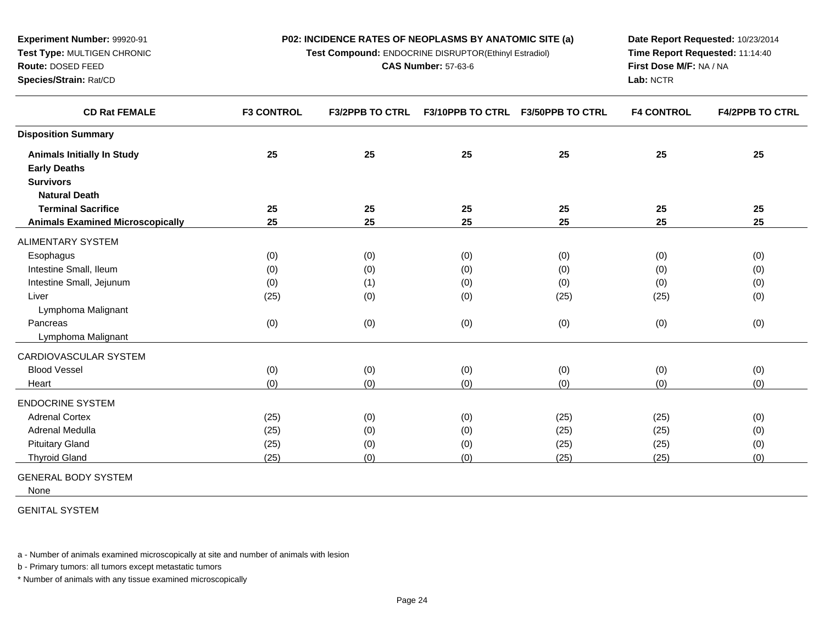**Test Compound:** ENDOCRINE DISRUPTOR(Ethinyl Estradiol)

**CAS Number:** 57-63-6

**Date Report Requested:** 10/23/2014**Time Report Requested:** 11:14:40**First Dose M/F:** NA / NA**Lab:** NCTR

| <b>CD Rat FEMALE</b>                    | <b>F3 CONTROL</b> | <b>F3/2PPB TO CTRL</b> | <b>F3/10PPB TO CTRL</b> | <b>F3/50PPB TO CTRL</b> | <b>F4 CONTROL</b> | <b>F4/2PPB TO CTRL</b> |
|-----------------------------------------|-------------------|------------------------|-------------------------|-------------------------|-------------------|------------------------|
| <b>Disposition Summary</b>              |                   |                        |                         |                         |                   |                        |
| <b>Animals Initially In Study</b>       | 25                | 25                     | 25                      | 25                      | 25                | 25                     |
| <b>Early Deaths</b>                     |                   |                        |                         |                         |                   |                        |
| <b>Survivors</b>                        |                   |                        |                         |                         |                   |                        |
| <b>Natural Death</b>                    |                   |                        |                         |                         |                   |                        |
| <b>Terminal Sacrifice</b>               | 25                | 25                     | 25                      | 25                      | 25                | 25                     |
| <b>Animals Examined Microscopically</b> | 25                | 25                     | 25                      | 25                      | 25                | 25                     |
| <b>ALIMENTARY SYSTEM</b>                |                   |                        |                         |                         |                   |                        |
| Esophagus                               | (0)               | (0)                    | (0)                     | (0)                     | (0)               | (0)                    |
| Intestine Small, Ileum                  | (0)               | (0)                    | (0)                     | (0)                     | (0)               | (0)                    |
| Intestine Small, Jejunum                | (0)               | (1)                    | (0)                     | (0)                     | (0)               | (0)                    |
| Liver                                   | (25)              | (0)                    | (0)                     | (25)                    | (25)              | (0)                    |
| Lymphoma Malignant                      |                   |                        |                         |                         |                   |                        |
| Pancreas                                | (0)               | (0)                    | (0)                     | (0)                     | (0)               | (0)                    |
| Lymphoma Malignant                      |                   |                        |                         |                         |                   |                        |
| CARDIOVASCULAR SYSTEM                   |                   |                        |                         |                         |                   |                        |
| <b>Blood Vessel</b>                     | (0)               | (0)                    | (0)                     | (0)                     | (0)               | (0)                    |
| Heart                                   | (0)               | (0)                    | (0)                     | (0)                     | (0)               | (0)                    |
| <b>ENDOCRINE SYSTEM</b>                 |                   |                        |                         |                         |                   |                        |
| <b>Adrenal Cortex</b>                   | (25)              | (0)                    | (0)                     | (25)                    | (25)              | (0)                    |
| Adrenal Medulla                         | (25)              | (0)                    | (0)                     | (25)                    | (25)              | (0)                    |
| <b>Pituitary Gland</b>                  | (25)              | (0)                    | (0)                     | (25)                    | (25)              | (0)                    |
| <b>Thyroid Gland</b>                    | (25)              | (0)                    | (0)                     | (25)                    | (25)              | (0)                    |
|                                         |                   |                        |                         |                         |                   |                        |

GENERAL BODY SYSTEM

**Experiment Number:** 99920-91**Test Type:** MULTIGEN CHRONIC

**Route:** DOSED FEED**Species/Strain:** Rat/CD

None

GENITAL SYSTEM

a - Number of animals examined microscopically at site and number of animals with lesion

b - Primary tumors: all tumors except metastatic tumors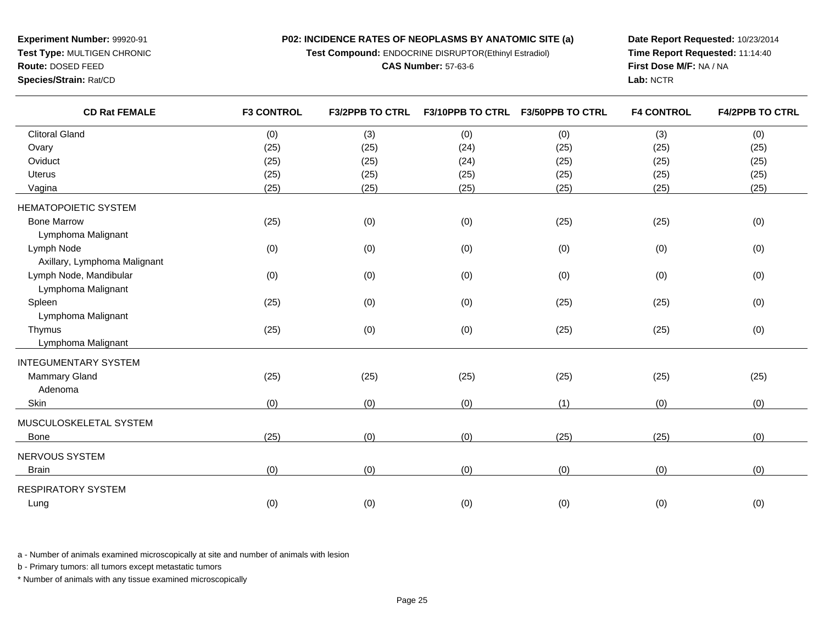**Test Compound:** ENDOCRINE DISRUPTOR(Ethinyl Estradiol)

**CAS Number:** 57-63-6

**Date Report Requested:** 10/23/2014**Time Report Requested:** 11:14:40**First Dose M/F:** NA / NA**Lab:** NCTR

| <b>CD Rat FEMALE</b>         | <b>F3 CONTROL</b> | <b>F3/2PPB TO CTRL</b> |      | F3/10PPB TO CTRL F3/50PPB TO CTRL | <b>F4 CONTROL</b> | <b>F4/2PPB TO CTRL</b> |
|------------------------------|-------------------|------------------------|------|-----------------------------------|-------------------|------------------------|
| <b>Clitoral Gland</b>        | (0)               | (3)                    | (0)  | (0)                               | (3)               | (0)                    |
| Ovary                        | (25)              | (25)                   | (24) | (25)                              | (25)              | (25)                   |
| Oviduct                      | (25)              | (25)                   | (24) | (25)                              | (25)              | (25)                   |
| <b>Uterus</b>                | (25)              | (25)                   | (25) | (25)                              | (25)              | (25)                   |
| Vagina                       | (25)              | (25)                   | (25) | (25)                              | (25)              | (25)                   |
| <b>HEMATOPOIETIC SYSTEM</b>  |                   |                        |      |                                   |                   |                        |
| <b>Bone Marrow</b>           | (25)              | (0)                    | (0)  | (25)                              | (25)              | (0)                    |
| Lymphoma Malignant           |                   |                        |      |                                   |                   |                        |
| Lymph Node                   | (0)               | (0)                    | (0)  | (0)                               | (0)               | (0)                    |
| Axillary, Lymphoma Malignant |                   |                        |      |                                   |                   |                        |
| Lymph Node, Mandibular       | (0)               | (0)                    | (0)  | (0)                               | (0)               | (0)                    |
| Lymphoma Malignant           |                   |                        |      |                                   |                   |                        |
| Spleen                       | (25)              | (0)                    | (0)  | (25)                              | (25)              | (0)                    |
| Lymphoma Malignant           |                   |                        |      |                                   |                   |                        |
| Thymus                       | (25)              | (0)                    | (0)  | (25)                              | (25)              | (0)                    |
| Lymphoma Malignant           |                   |                        |      |                                   |                   |                        |
| <b>INTEGUMENTARY SYSTEM</b>  |                   |                        |      |                                   |                   |                        |
| Mammary Gland                | (25)              | (25)                   | (25) | (25)                              | (25)              | (25)                   |
| Adenoma                      |                   |                        |      |                                   |                   |                        |
| Skin                         | (0)               | (0)                    | (0)  | (1)                               | (0)               | (0)                    |
| MUSCULOSKELETAL SYSTEM       |                   |                        |      |                                   |                   |                        |
| Bone                         | (25)              | (0)                    | (0)  | (25)                              | (25)              | (0)                    |
| NERVOUS SYSTEM               |                   |                        |      |                                   |                   |                        |
| <b>Brain</b>                 | (0)               | (0)                    | (0)  | (0)                               | (0)               | (0)                    |
| <b>RESPIRATORY SYSTEM</b>    |                   |                        |      |                                   |                   |                        |
| Lung                         | (0)               | (0)                    | (0)  | (0)                               | (0)               | (0)                    |
|                              |                   |                        |      |                                   |                   |                        |

a - Number of animals examined microscopically at site and number of animals with lesion

b - Primary tumors: all tumors except metastatic tumors

\* Number of animals with any tissue examined microscopically

**Experiment Number:** 99920-91**Test Type:** MULTIGEN CHRONIC

**Route:** DOSED FEED

**Species/Strain:** Rat/CD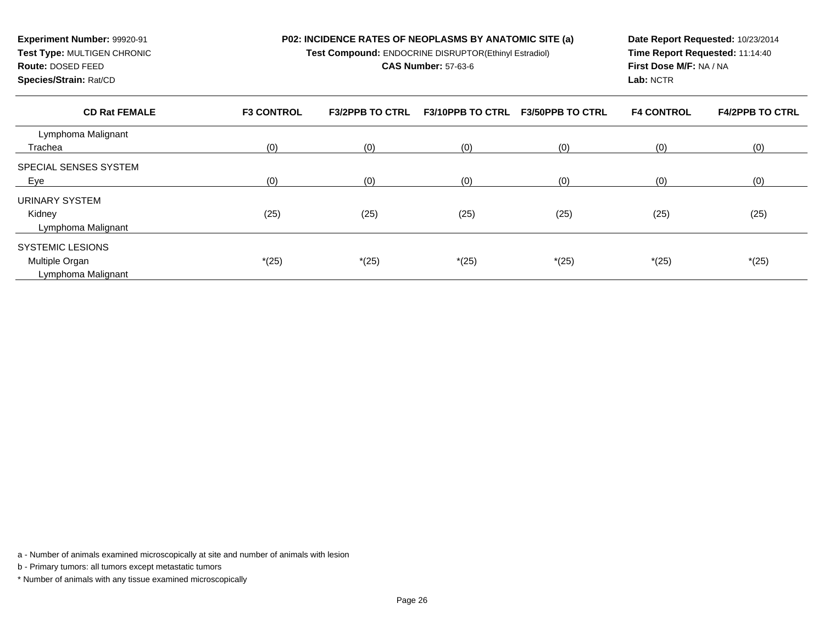**Test Compound:** ENDOCRINE DISRUPTOR(Ethinyl Estradiol)

#### **CAS Number:** 57-63-6

**Species/Strain:** Rat/CD

**Route:** DOSED FEED

**Experiment Number:** 99920-91**Test Type:** MULTIGEN CHRONIC

**Date Report Requested:** 10/23/2014**Time Report Requested:** 11:14:40**First Dose M/F:** NA / NA**Lab:** NCTR

| <b>CD Rat FEMALE</b>         | <b>F3 CONTROL</b> | <b>F3/2PPB TO CTRL</b> | <b>F3/10PPB TO CTRL</b> | <b>F3/50PPB TO CTRL</b> | <b>F4 CONTROL</b> | <b>F4/2PPB TO CTRL</b> |
|------------------------------|-------------------|------------------------|-------------------------|-------------------------|-------------------|------------------------|
| Lymphoma Malignant           |                   |                        |                         |                         |                   |                        |
| Trachea                      | (0)               | (0)                    | (0)                     | (0)                     | (0)               | (0)                    |
| <b>SPECIAL SENSES SYSTEM</b> |                   |                        |                         |                         |                   |                        |
| <u>Eye</u>                   | (0)               | (0)                    | (0)                     | (0)                     | (0)               | (0)                    |
| URINARY SYSTEM               |                   |                        |                         |                         |                   |                        |
| Kidney                       | (25)              | (25)                   | (25)                    | (25)                    | (25)              | (25)                   |
| Lymphoma Malignant           |                   |                        |                         |                         |                   |                        |
| <b>SYSTEMIC LESIONS</b>      |                   |                        |                         |                         |                   |                        |
| Multiple Organ               | $*(25)$           | $*(25)$                | $*(25)$                 | $*(25)$                 | $*(25)$           | $*(25)$                |
| Lymphoma Malignant           |                   |                        |                         |                         |                   |                        |

a - Number of animals examined microscopically at site and number of animals with lesion

b - Primary tumors: all tumors except metastatic tumors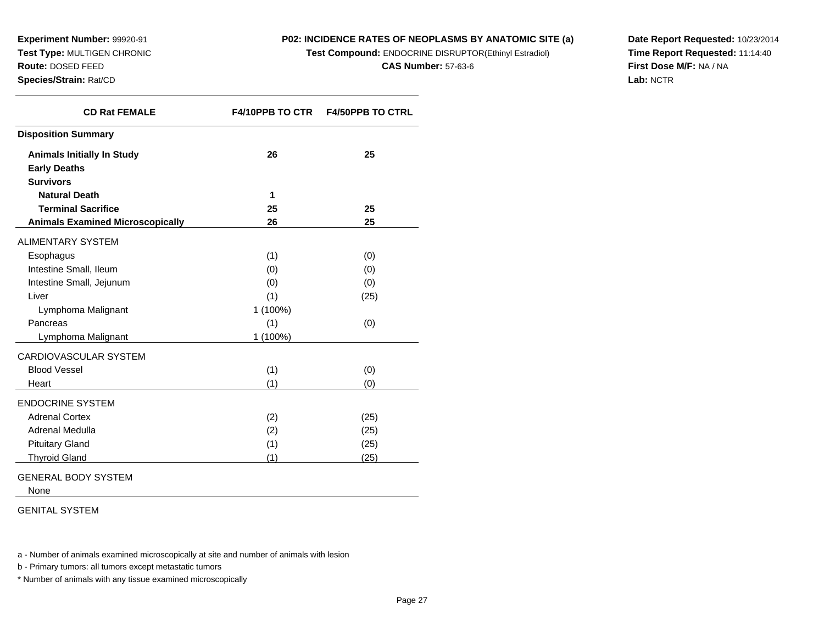**Experiment Number:** 99920-91 **Test Type:** MULTIGEN CHRONIC**Route:** DOSED FEED

**Species/Strain:** Rat/CD

# **P02: INCIDENCE RATES OF NEOPLASMS BY ANATOMIC SITE (a)**

**Test Compound:** ENDOCRINE DISRUPTOR(Ethinyl Estradiol)

**CAS Number:** 57-63-6

**Date Report Requested:** 10/23/2014**Time Report Requested:** 11:14:40**First Dose M/F:** NA / NA**Lab:** NCTR

| <b>CD Rat FEMALE</b>                    | <b>F4/10PPB TO CTR</b> | <b>F4/50PPB TO CTRL</b> |
|-----------------------------------------|------------------------|-------------------------|
| <b>Disposition Summary</b>              |                        |                         |
| <b>Animals Initially In Study</b>       | 26                     | 25                      |
| <b>Early Deaths</b>                     |                        |                         |
| <b>Survivors</b>                        |                        |                         |
| <b>Natural Death</b>                    | 1                      |                         |
| <b>Terminal Sacrifice</b>               | 25                     | 25                      |
| <b>Animals Examined Microscopically</b> | 26                     | 25                      |
| <b>ALIMENTARY SYSTEM</b>                |                        |                         |
| Esophagus                               | (1)                    | (0)                     |
| Intestine Small, Ileum                  | (0)                    | (0)                     |
| Intestine Small, Jejunum                | (0)                    | (0)                     |
| Liver                                   | (1)                    | (25)                    |
| Lymphoma Malignant                      | 1 (100%)               |                         |
| Pancreas                                | (1)                    | (0)                     |
| Lymphoma Malignant                      | 1 (100%)               |                         |
| CARDIOVASCULAR SYSTEM                   |                        |                         |
| <b>Blood Vessel</b>                     | (1)                    | (0)                     |
| Heart                                   | (1)                    | (0)                     |
| <b>ENDOCRINE SYSTEM</b>                 |                        |                         |
| <b>Adrenal Cortex</b>                   | (2)                    | (25)                    |
| Adrenal Medulla                         | (2)                    | (25)                    |
| <b>Pituitary Gland</b>                  | (1)                    | (25)                    |
| <b>Thyroid Gland</b>                    | (1)                    | (25)                    |

# GENERAL BODY SYSTEM

None

#### GENITAL SYSTEM

a - Number of animals examined microscopically at site and number of animals with lesion

b - Primary tumors: all tumors except metastatic tumors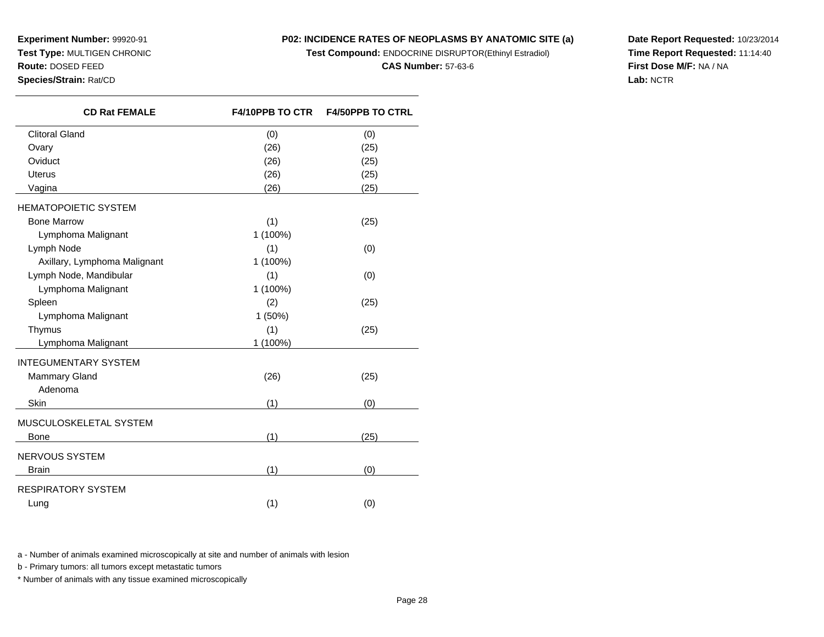**Experiment Number:** 99920-91 **Test Type:** MULTIGEN CHRONIC**Route:** DOSED FEED

**Species/Strain:** Rat/CD

# **P02: INCIDENCE RATES OF NEOPLASMS BY ANATOMIC SITE (a)**

**Test Compound:** ENDOCRINE DISRUPTOR(Ethinyl Estradiol)

#### **CAS Number:** 57-63-6

**Date Report Requested:** 10/23/2014**Time Report Requested:** 11:14:40**First Dose M/F:** NA / NA**Lab:** NCTR

| <b>CD Rat FEMALE</b>                                           | <b>F4/10PPB TO CTR</b> | <b>F4/50PPB TO CTRL</b> |
|----------------------------------------------------------------|------------------------|-------------------------|
| <b>Clitoral Gland</b>                                          | (0)                    | (0)                     |
| Ovary                                                          | (26)                   | (25)                    |
| Oviduct                                                        | (26)                   | (25)                    |
| <b>Uterus</b>                                                  | (26)                   | (25)                    |
| Vagina                                                         | (26)                   | (25)                    |
| <b>HEMATOPOIETIC SYSTEM</b>                                    |                        |                         |
| <b>Bone Marrow</b>                                             | (1)                    | (25)                    |
| Lymphoma Malignant                                             | 1 (100%)               |                         |
| Lymph Node                                                     | (1)                    | (0)                     |
| Axillary, Lymphoma Malignant                                   | 1 (100%)               |                         |
| Lymph Node, Mandibular                                         | (1)                    | (0)                     |
| Lymphoma Malignant                                             | 1 (100%)               |                         |
| Spleen                                                         | (2)                    | (25)                    |
| Lymphoma Malignant                                             | 1 (50%)                |                         |
| Thymus                                                         | (1)                    | (25)                    |
| Lymphoma Malignant                                             | 1 (100%)               |                         |
| <b>INTEGUMENTARY SYSTEM</b>                                    |                        |                         |
| <b>Mammary Gland</b>                                           | (26)                   | (25)                    |
| Adenoma                                                        |                        |                         |
| Skin                                                           | (1)                    | (0)                     |
| MUSCULOSKELETAL SYSTEM                                         |                        |                         |
| <b>Bone</b><br><u>and the state of the state of the sta</u> te | (1)                    | (25)                    |
| NERVOUS SYSTEM                                                 |                        |                         |
| <b>Brain</b>                                                   | (1)                    | (0)                     |
| RESPIRATORY SYSTEM                                             |                        |                         |
| Lung                                                           | (1)                    | (0)                     |
|                                                                |                        |                         |

a - Number of animals examined microscopically at site and number of animals with lesion

b - Primary tumors: all tumors except metastatic tumors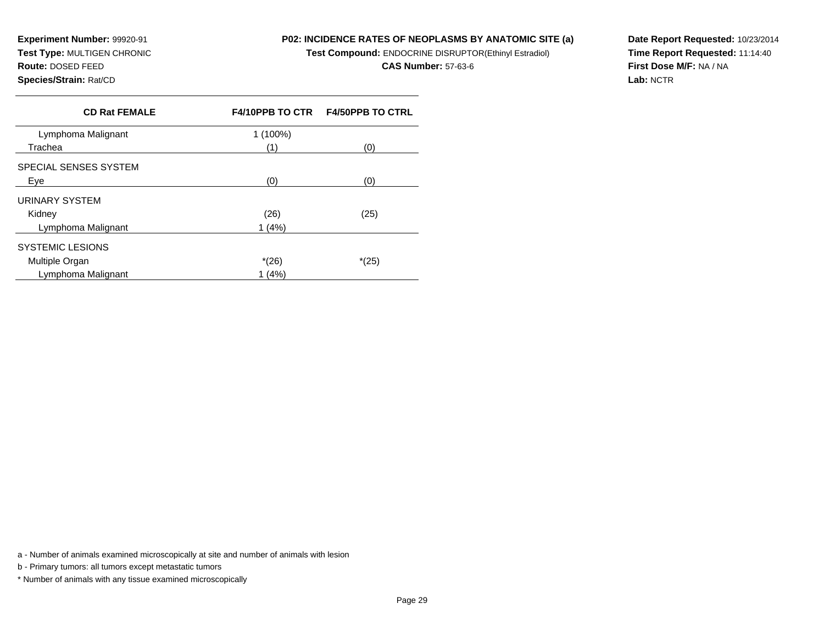**Experiment Number:** 99920-91 **Test Type:** MULTIGEN CHRONIC**Route:** DOSED FEED**Species/Strain:** Rat/CD

# **P02: INCIDENCE RATES OF NEOPLASMS BY ANATOMIC SITE (a)**

**Test Compound:** ENDOCRINE DISRUPTOR(Ethinyl Estradiol)

**CAS Number:** 57-63-6

**Date Report Requested:** 10/23/2014**Time Report Requested:** 11:14:40**First Dose M/F:** NA / NA**Lab:** NCTR

| <b>CD Rat FEMALE</b>    |          | F4/10PPB TO CTR    F4/50PPB TO CTRL |
|-------------------------|----------|-------------------------------------|
| Lymphoma Malignant      | 1 (100%) |                                     |
| Trachea                 | (1)      | (0)                                 |
| SPECIAL SENSES SYSTEM   |          |                                     |
| Eve                     | (0)      | (0)                                 |
| URINARY SYSTEM          |          |                                     |
| Kidney                  | (26)     | (25)                                |
| Lymphoma Malignant      | 1(4%)    |                                     |
| <b>SYSTEMIC LESIONS</b> |          |                                     |
| Multiple Organ          | $*(26)$  | $*(25)$                             |
| Lymphoma Malignant      | (4% )    |                                     |

a - Number of animals examined microscopically at site and number of animals with lesion

b - Primary tumors: all tumors except metastatic tumors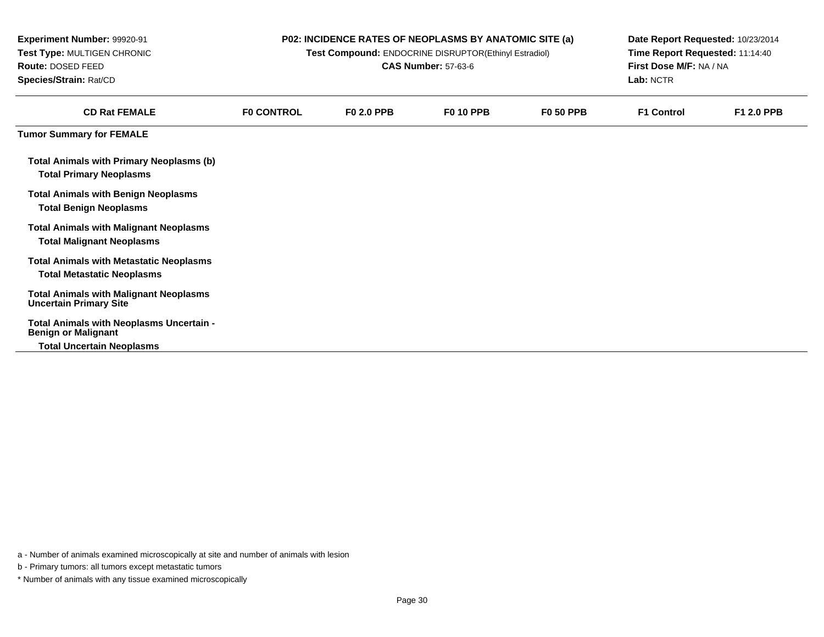| Experiment Number: 99920-91<br>Test Type: MULTIGEN CHRONIC<br>Route: DOSED FEED<br>Species/Strain: Rat/CD |                   |                   | P02: INCIDENCE RATES OF NEOPLASMS BY ANATOMIC SITE (a)<br>Test Compound: ENDOCRINE DISRUPTOR(Ethinyl Estradiol)<br><b>CAS Number: 57-63-6</b> |                  | Date Report Requested: 10/23/2014<br>Time Report Requested: 11:14:40<br>First Dose M/F: NA / NA<br>Lab: NCTR |                   |  |
|-----------------------------------------------------------------------------------------------------------|-------------------|-------------------|-----------------------------------------------------------------------------------------------------------------------------------------------|------------------|--------------------------------------------------------------------------------------------------------------|-------------------|--|
| <b>CD Rat FEMALE</b>                                                                                      | <b>FO CONTROL</b> | <b>F0 2.0 PPB</b> | <b>F0 10 PPB</b>                                                                                                                              | <b>F0 50 PPB</b> | <b>F1 Control</b>                                                                                            | <b>F1 2.0 PPB</b> |  |
| <b>Tumor Summary for FEMALE</b>                                                                           |                   |                   |                                                                                                                                               |                  |                                                                                                              |                   |  |
| <b>Total Animals with Primary Neoplasms (b)</b><br><b>Total Primary Neoplasms</b>                         |                   |                   |                                                                                                                                               |                  |                                                                                                              |                   |  |
| <b>Total Animals with Benign Neoplasms</b><br><b>Total Benign Neoplasms</b>                               |                   |                   |                                                                                                                                               |                  |                                                                                                              |                   |  |
| <b>Total Animals with Malignant Neoplasms</b><br><b>Total Malignant Neoplasms</b>                         |                   |                   |                                                                                                                                               |                  |                                                                                                              |                   |  |
| <b>Total Animals with Metastatic Neoplasms</b><br><b>Total Metastatic Neoplasms</b>                       |                   |                   |                                                                                                                                               |                  |                                                                                                              |                   |  |
| <b>Total Animals with Malignant Neoplasms</b><br><b>Uncertain Primary Site</b>                            |                   |                   |                                                                                                                                               |                  |                                                                                                              |                   |  |
| Total Animals with Neoplasms Uncertain -<br><b>Benign or Malignant</b>                                    |                   |                   |                                                                                                                                               |                  |                                                                                                              |                   |  |
| <b>Total Uncertain Neoplasms</b>                                                                          |                   |                   |                                                                                                                                               |                  |                                                                                                              |                   |  |

-

a - Number of animals examined microscopically at site and number of animals with lesion

b - Primary tumors: all tumors except metastatic tumors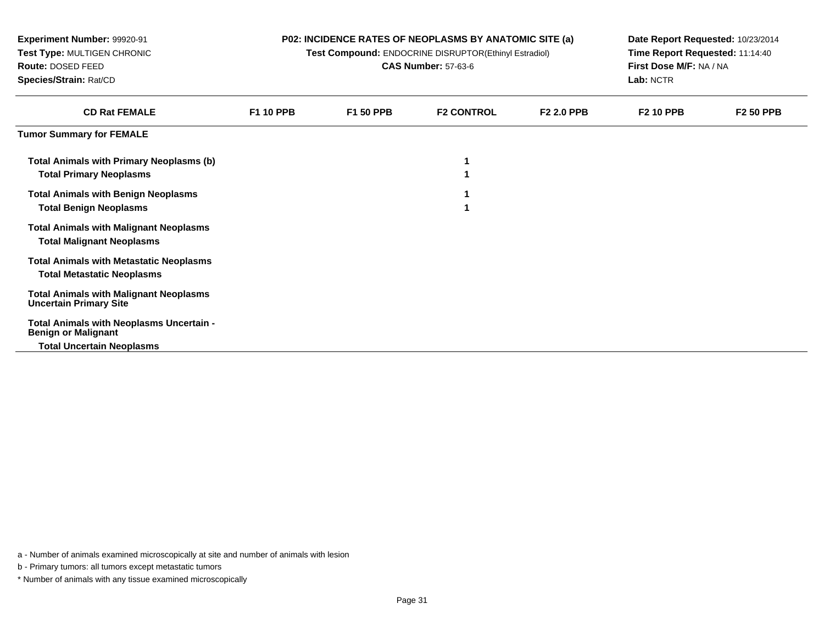| <b>Experiment Number: 99920-91</b><br>Test Type: MULTIGEN CHRONIC<br>Route: DOSED FEED<br>Species/Strain: Rat/CD |                  |                  | <b>P02: INCIDENCE RATES OF NEOPLASMS BY ANATOMIC SITE (a)</b><br>Test Compound: ENDOCRINE DISRUPTOR(Ethinyl Estradiol)<br><b>CAS Number: 57-63-6</b> |                   | Date Report Requested: 10/23/2014<br>Time Report Requested: 11:14:40<br>First Dose M/F: NA / NA<br>Lab: NCTR |                  |  |
|------------------------------------------------------------------------------------------------------------------|------------------|------------------|------------------------------------------------------------------------------------------------------------------------------------------------------|-------------------|--------------------------------------------------------------------------------------------------------------|------------------|--|
| <b>CD Rat FEMALE</b>                                                                                             | <b>F1 10 PPB</b> | <b>F1 50 PPB</b> | <b>F2 CONTROL</b>                                                                                                                                    | <b>F2 2.0 PPB</b> | <b>F2 10 PPB</b>                                                                                             | <b>F2 50 PPB</b> |  |
| <b>Tumor Summary for FEMALE</b>                                                                                  |                  |                  |                                                                                                                                                      |                   |                                                                                                              |                  |  |
| <b>Total Animals with Primary Neoplasms (b)</b><br><b>Total Primary Neoplasms</b>                                |                  |                  |                                                                                                                                                      |                   |                                                                                                              |                  |  |
| <b>Total Animals with Benign Neoplasms</b><br><b>Total Benign Neoplasms</b>                                      |                  |                  |                                                                                                                                                      |                   |                                                                                                              |                  |  |
| <b>Total Animals with Malignant Neoplasms</b><br><b>Total Malignant Neoplasms</b>                                |                  |                  |                                                                                                                                                      |                   |                                                                                                              |                  |  |
| <b>Total Animals with Metastatic Neoplasms</b><br><b>Total Metastatic Neoplasms</b>                              |                  |                  |                                                                                                                                                      |                   |                                                                                                              |                  |  |
| <b>Total Animals with Malignant Neoplasms</b><br><b>Uncertain Primary Site</b>                                   |                  |                  |                                                                                                                                                      |                   |                                                                                                              |                  |  |
| Total Animals with Neoplasms Uncertain -<br><b>Benign or Malignant</b>                                           |                  |                  |                                                                                                                                                      |                   |                                                                                                              |                  |  |
| <b>Total Uncertain Neoplasms</b>                                                                                 |                  |                  |                                                                                                                                                      |                   |                                                                                                              |                  |  |

b - Primary tumors: all tumors except metastatic tumors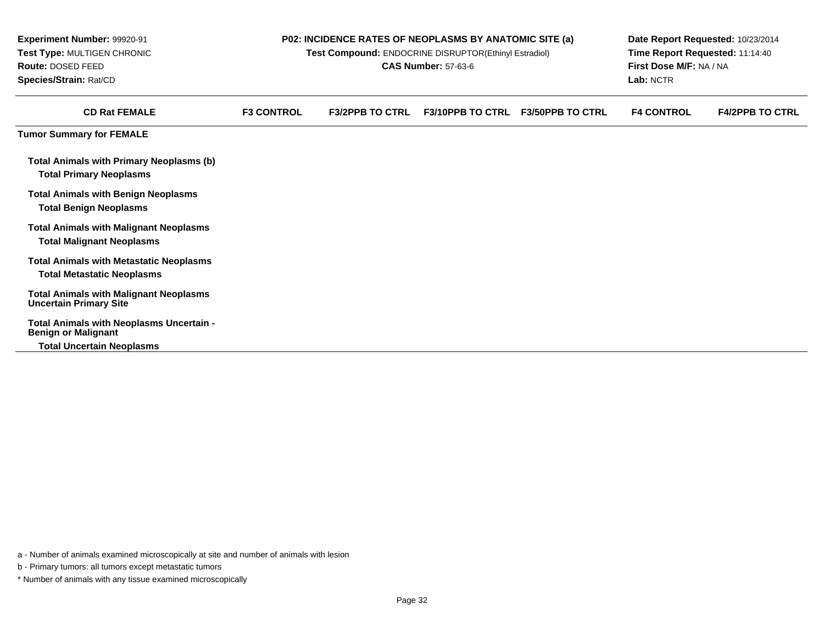| <b>Experiment Number: 99920-91</b><br>Test Type: MULTIGEN CHRONIC<br>Route: DOSED FEED<br>Species/Strain: Rat/CD |                   | P02: INCIDENCE RATES OF NEOPLASMS BY ANATOMIC SITE (a)<br>Test Compound: ENDOCRINE DISRUPTOR(Ethinyl Estradiol) | <b>CAS Number: 57-63-6</b> |                         | Date Report Requested: 10/23/2014<br>Time Report Requested: 11:14:40<br>First Dose M/F: NA / NA<br>Lab: NCTR |                        |  |
|------------------------------------------------------------------------------------------------------------------|-------------------|-----------------------------------------------------------------------------------------------------------------|----------------------------|-------------------------|--------------------------------------------------------------------------------------------------------------|------------------------|--|
| <b>CD Rat FEMALE</b>                                                                                             | <b>F3 CONTROL</b> | <b>F3/2PPB TO CTRL</b>                                                                                          | <b>F3/10PPB TO CTRL</b>    | <b>F3/50PPB TO CTRL</b> | <b>F4 CONTROL</b>                                                                                            | <b>F4/2PPB TO CTRL</b> |  |
| <b>Tumor Summary for FEMALE</b>                                                                                  |                   |                                                                                                                 |                            |                         |                                                                                                              |                        |  |
| <b>Total Animals with Primary Neoplasms (b)</b><br><b>Total Primary Neoplasms</b>                                |                   |                                                                                                                 |                            |                         |                                                                                                              |                        |  |
| <b>Total Animals with Benign Neoplasms</b><br><b>Total Benign Neoplasms</b>                                      |                   |                                                                                                                 |                            |                         |                                                                                                              |                        |  |
| <b>Total Animals with Malignant Neoplasms</b><br><b>Total Malignant Neoplasms</b>                                |                   |                                                                                                                 |                            |                         |                                                                                                              |                        |  |
| <b>Total Animals with Metastatic Neoplasms</b><br><b>Total Metastatic Neoplasms</b>                              |                   |                                                                                                                 |                            |                         |                                                                                                              |                        |  |
| <b>Total Animals with Malignant Neoplasms</b><br><b>Uncertain Primary Site</b>                                   |                   |                                                                                                                 |                            |                         |                                                                                                              |                        |  |
| Total Animals with Neoplasms Uncertain -<br><b>Benign or Malignant</b><br><b>Total Uncertain Neoplasms</b>       |                   |                                                                                                                 |                            |                         |                                                                                                              |                        |  |

b - Primary tumors: all tumors except metastatic tumors